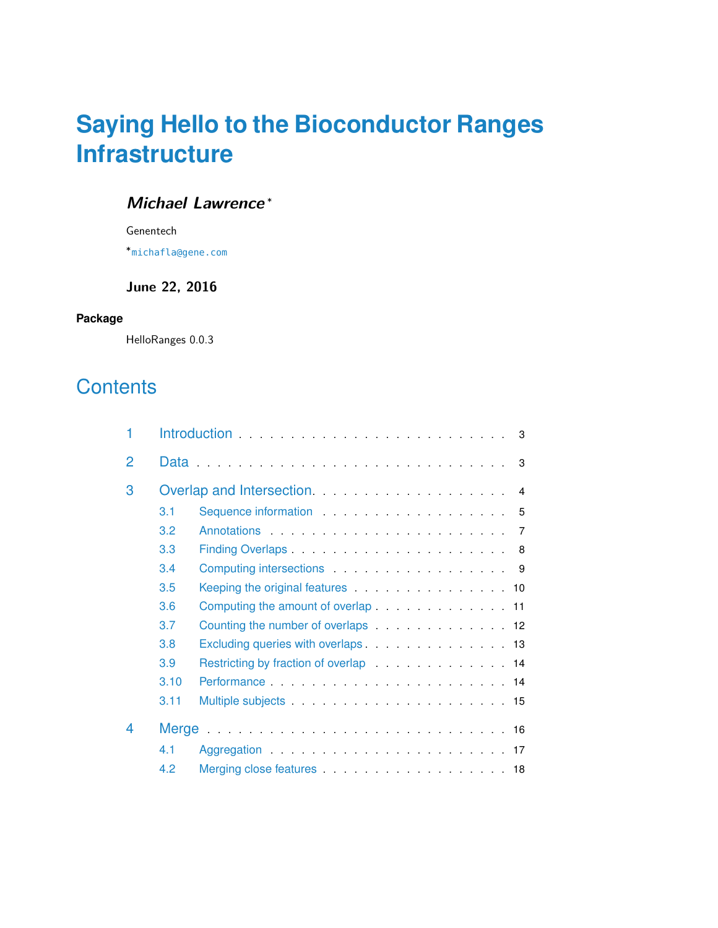# **Saying Hello to the Bioconductor Ranges Infrastructure**

## **Michael Lawrence** <sup>∗</sup>

Genentech

∗ [michafla@gene.com](mailto:michafla@gene.com)

### **June 22, 2016**

#### **Package**

HelloRanges 0.0.3

# **Contents**

| 1              |      |                                                                                                                                                                                                                                |  |  |  |  |
|----------------|------|--------------------------------------------------------------------------------------------------------------------------------------------------------------------------------------------------------------------------------|--|--|--|--|
| $\overline{2}$ |      |                                                                                                                                                                                                                                |  |  |  |  |
| 3              |      |                                                                                                                                                                                                                                |  |  |  |  |
|                | 3.1  |                                                                                                                                                                                                                                |  |  |  |  |
|                | 3.2  |                                                                                                                                                                                                                                |  |  |  |  |
|                | 3.3  |                                                                                                                                                                                                                                |  |  |  |  |
|                | 3.4  | Computing intersections expansion of the set of the set of the set of the set of the set of the set of the set of the set of the set of the set of the set of the set of the set of the set of the set of the set of the set o |  |  |  |  |
|                | 3.5  | Keeping the original features 10                                                                                                                                                                                               |  |  |  |  |
|                | 3.6  | Computing the amount of overlap 11                                                                                                                                                                                             |  |  |  |  |
|                | 3.7  | Counting the number of overlaps 12                                                                                                                                                                                             |  |  |  |  |
|                | 3.8  | Excluding queries with overlaps 13                                                                                                                                                                                             |  |  |  |  |
|                | 3.9  |                                                                                                                                                                                                                                |  |  |  |  |
|                | 3.10 |                                                                                                                                                                                                                                |  |  |  |  |
|                | 3.11 |                                                                                                                                                                                                                                |  |  |  |  |
| 4              |      |                                                                                                                                                                                                                                |  |  |  |  |
|                | 41   |                                                                                                                                                                                                                                |  |  |  |  |
|                | 4.2  |                                                                                                                                                                                                                                |  |  |  |  |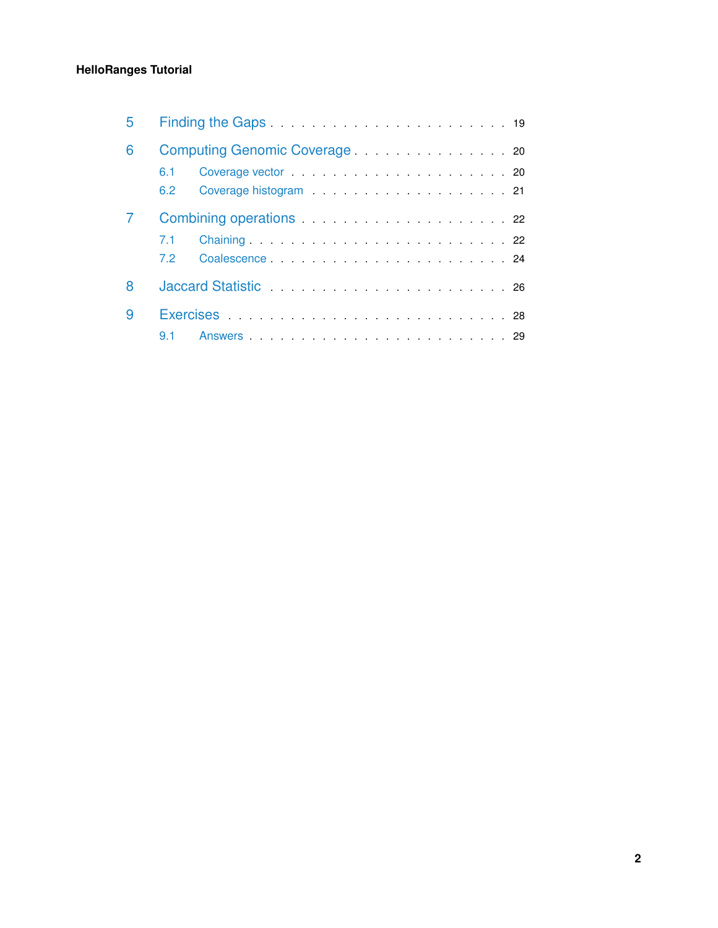### **HelloRanges Tutorial**

| 5 |     |                                                                                                                |  |  |  |  |
|---|-----|----------------------------------------------------------------------------------------------------------------|--|--|--|--|
| 6 |     |                                                                                                                |  |  |  |  |
|   | 6.1 |                                                                                                                |  |  |  |  |
|   | 6.2 |                                                                                                                |  |  |  |  |
|   |     |                                                                                                                |  |  |  |  |
|   | 7.1 |                                                                                                                |  |  |  |  |
|   | 7.2 | Coalescence 24                                                                                                 |  |  |  |  |
| 8 |     | Jaccard Statistic Communication of the Statistic Communication of the Statistic Communication of the Statistic |  |  |  |  |
| 9 |     | Exercises 28                                                                                                   |  |  |  |  |
|   | 9.1 |                                                                                                                |  |  |  |  |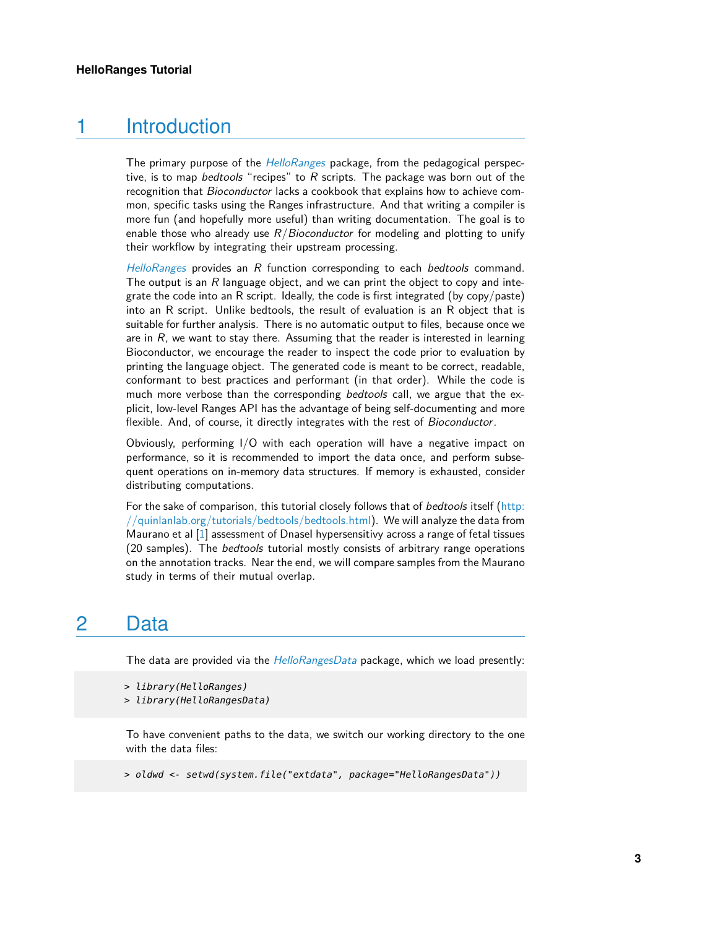# 1 Introduction

<span id="page-2-0"></span>The primary purpose of the *[HelloRanges](http://bioconductor.org/packages/HelloRanges)* package, from the pedagogical perspective, is to map bedtools "recipes" to  $R$  scripts. The package was born out of the recognition that *Bioconductor* lacks a cookbook that explains how to achieve common, specific tasks using the Ranges infrastructure. And that writing a compiler is more fun (and hopefully more useful) than writing documentation. The goal is to enable those who already use  $R/Bioconductor$  for modeling and plotting to unify their workflow by integrating their upstream processing.

[HelloRanges](http://bioconductor.org/packages/HelloRanges) provides an R function corresponding to each bedtools command. The output is an  $R$  language object, and we can print the object to copy and integrate the code into an R script. Ideally, the code is first integrated (by copy/paste) into an R script. Unlike bedtools, the result of evaluation is an R object that is suitable for further analysis. There is no automatic output to files, because once we are in  $R$ , we want to stay there. Assuming that the reader is interested in learning Bioconductor, we encourage the reader to inspect the code prior to evaluation by printing the language object. The generated code is meant to be correct, readable, conformant to best practices and performant (in that order). While the code is much more verbose than the corresponding bedtools call, we argue that the explicit, low-level Ranges API has the advantage of being self-documenting and more flexible. And, of course, it directly integrates with the rest of Bioconductor.

Obviously, performing I/O with each operation will have a negative impact on performance, so it is recommended to import the data once, and perform subsequent operations on in-memory data structures. If memory is exhausted, consider distributing computations.

For the sake of comparison, this tutorial closely follows that of *bedtools* itself [\(http:](http://quinlanlab.org/tutorials/bedtools/bedtools.html) [//quinlanlab.org/tutorials/bedtools/bedtools.html\)](http://quinlanlab.org/tutorials/bedtools/bedtools.html). We will analyze the data from Maurano et al  $[1]$  assessment of Dnasel hypersensitivy across a range of fetal tissues (20 samples). The bedtools tutorial mostly consists of arbitrary range operations on the annotation tracks. Near the end, we will compare samples from the Maurano study in terms of their mutual overlap.

# <span id="page-2-1"></span>2 Data

The data are provided via the *[HelloRangesData](http://bioconductor.org/packages/HelloRangesData)* package, which we load presently:

To have convenient paths to the data, we switch our working directory to the one with the data files:

> oldwd <- setwd(system.file("extdata", package="HelloRangesData"))

<sup>&</sup>gt; library(HelloRanges)

<sup>&</sup>gt; library(HelloRangesData)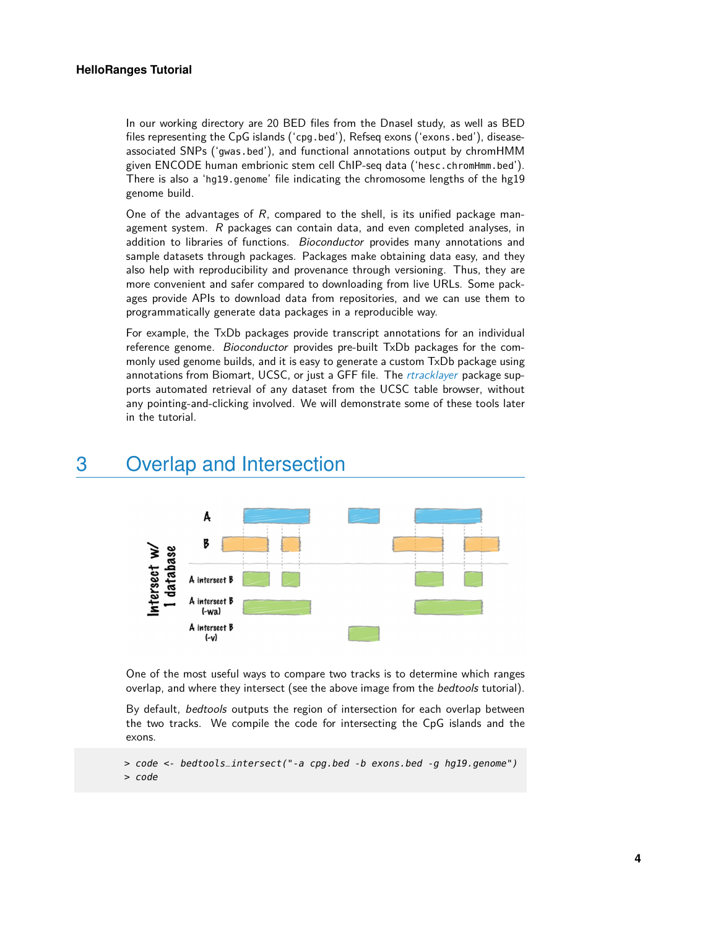In our working directory are 20 BED files from the Dnasel study, as well as BED files representing the CpG islands ('cpg.bed'), Refseq exons ('exons.bed'), diseaseassociated SNPs ('gwas.bed'), and functional annotations output by chromHMM given ENCODE human embrionic stem cell ChIP-seq data ('hesc.chromHmm.bed'). There is also a 'hg19.genome' file indicating the chromosome lengths of the hg19 genome build.

One of the advantages of  $R$ , compared to the shell, is its unified package management system. R packages can contain data, and even completed analyses, in addition to libraries of functions. Bioconductor provides many annotations and sample datasets through packages. Packages make obtaining data easy, and they also help with reproducibility and provenance through versioning. Thus, they are more convenient and safer compared to downloading from live URLs. Some packages provide APIs to download data from repositories, and we can use them to programmatically generate data packages in a reproducible way.

For example, the TxDb packages provide transcript annotations for an individual reference genome. Bioconductor provides pre-built TxDb packages for the commonly used genome builds, and it is easy to generate a custom TxDb package using annotations from Biomart, UCSC, or just a GFF file. The [rtracklayer](http://bioconductor.org/packages/rtracklayer) package supports automated retrieval of any dataset from the UCSC table browser, without any pointing-and-clicking involved. We will demonstrate some of these tools later in the tutorial.

# <span id="page-3-0"></span>3 Overlap and Intersection



One of the most useful ways to compare two tracks is to determine which ranges overlap, and where they intersect (see the above image from the bedtools tutorial).

By default, bedtools outputs the region of intersection for each overlap between the two tracks. We compile the code for intersecting the CpG islands and the exons.

<sup>&</sup>gt; code <- bedtools\_intersect("-a cpg.bed -b exons.bed -g hg19.genome") > code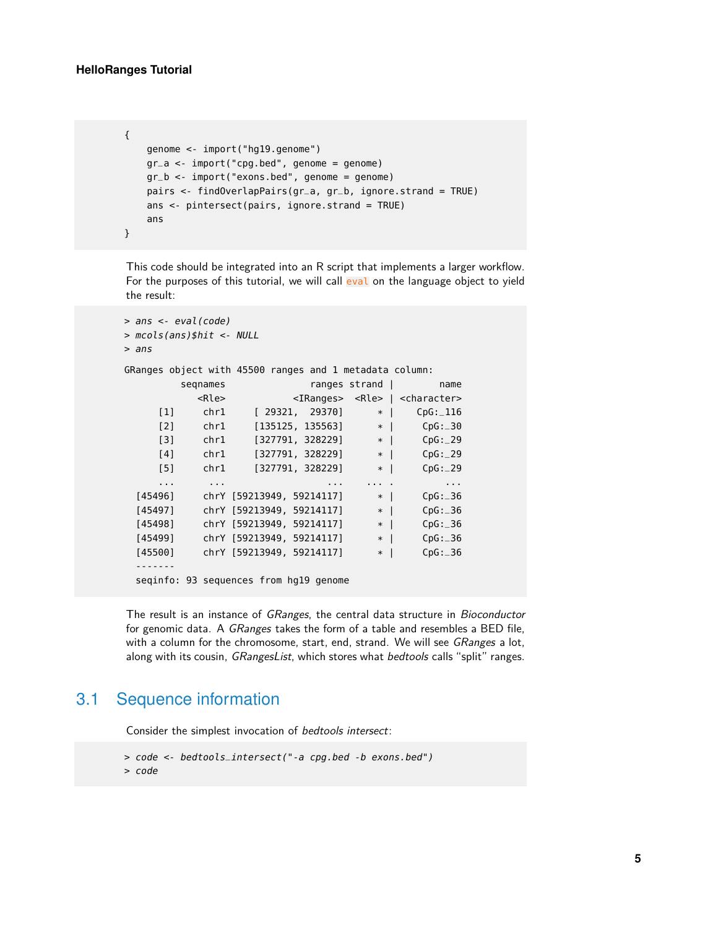```
{
   genome <- import("hg19.genome")
   gr_a < -import("cpg.bed", genome = genome)gr_b <- import("exons.bed", genome = genome)
   pairs <- findOverlapPairs(gr_a, gr_b, ignore.strand = TRUE)
   ans <- pintersect(pairs, ignore.strand = TRUE)
   ans
}
```
This code should be integrated into an R script that implements a larger workflow. For the purposes of this tutorial, we will call eval on the language object to yield the result:

```
> ans <- eval(code)
> mcols(ans)$hit <- NULL
> ans
GRanges object with 45500 ranges and 1 metadata column:
       seqnames ranges strand | name
         <Rle> <IRanges> <Rle> | <character>
    [1] chr1 [ 29321, 29370] * | CpG:_116
    [2] chr1 [135125, 135563] * | CpG:_30
    [3] chr1 [327791, 328229] * | CpG: 29
    [4] chr1 [327791, 328229] * | CpG: 29
    [5] chr1 [327791, 328229] * | CpG:_29
    ... ... ... ... . ...
 [45496] chrY [59213949, 59214117] * | CpG: 36
 [45497] chrY [59213949, 59214117] * | CpG:_36
 [45498] chrY [59213949, 59214117] * | CpG: 36
 [45499] chrY [59213949, 59214117] * | CpG: 36
 [45500] chrY [59213949, 59214117] * | CpG: 36
 -------
 seqinfo: 93 sequences from hg19 genome
```
<span id="page-4-0"></span>The result is an instance of GRanges, the central data structure in Bioconductor for genomic data. A GRanges takes the form of a table and resembles a BED file, with a column for the chromosome, start, end, strand. We will see *GRanges* a lot, along with its cousin, GRangesList, which stores what bedtools calls "split" ranges.

# 3.1 Sequence information

Consider the simplest invocation of bedtools intersect:

```
> code <- bedtools_intersect("-a cpg.bed -b exons.bed")
> code
```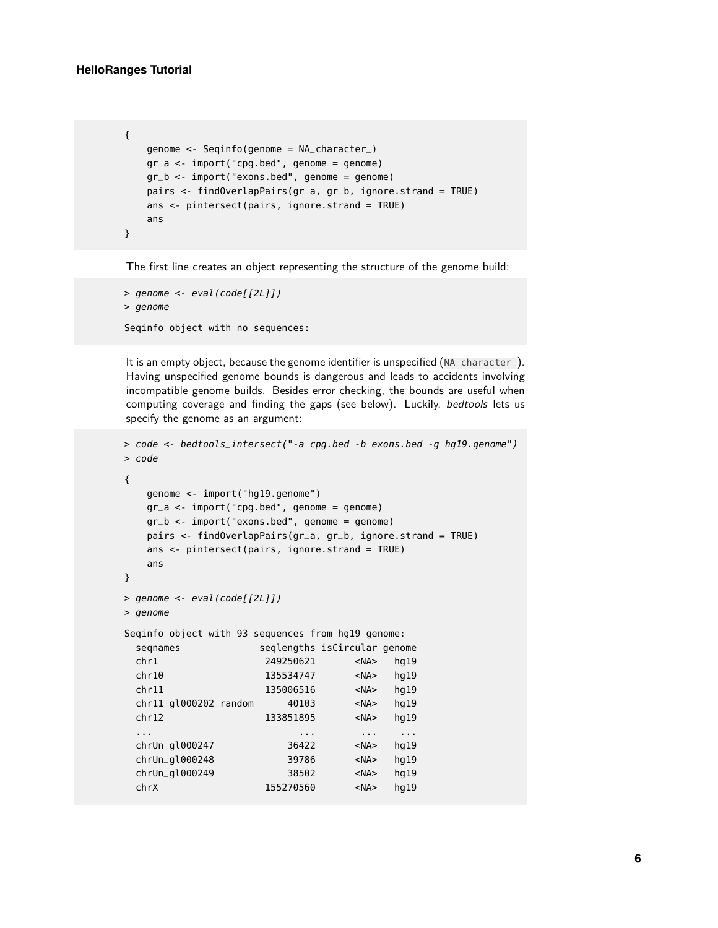#### **HelloRanges Tutorial**

```
{
   genome <- Seqinfo(genome = NA_character_)
   gr_a < -import("cpg.bed", genome = genome)gr_b <- import("exons.bed", genome = genome)
   pairs <- findOverlapPairs(gr_a, gr_b, ignore.strand = TRUE)
   ans <- pintersect(pairs, ignore.strand = TRUE)
   ans
}
```
The first line creates an object representing the structure of the genome build:

```
> genome <- eval(code[[2L]])
> genome
```

```
Seqinfo object with no sequences:
```
It is an empty object, because the genome identifier is unspecified (NA\_character\_). Having unspecified genome bounds is dangerous and leads to accidents involving incompatible genome builds. Besides error checking, the bounds are useful when computing coverage and finding the gaps (see below). Luckily, bedtools lets us specify the genome as an argument:

```
> code <- bedtools_intersect("-a cpg.bed -b exons.bed -g hg19.genome")
> code
{
   genome <- import("hg19.genome")
   gr_a < -import("cpg.bed", genome = genome)gr_b <- import("exons.bed", genome = genome)
   pairs <- findOverlapPairs(gr_a, gr_b, ignore.strand = TRUE)
  ans <- pintersect(pairs, ignore.strand = TRUE)
   ans
}
> genome <- eval(code[[2L]])
> genome
Seqinfo object with 93 sequences from hg19 genome:
 seqnames seqlengths isCircular genome
 chr1 249250621 <NA> hg19
 chr10 135534747 <NA> hg19
 chr11 135006516 <NA> hg19
 chr11_gl000202_random 40103 <NA> hg19
 chr12 133851895 <NA> hg19
 ... ... ... ...
 chrUn_gl000247 36422 <NA> hg19
 chrUn_gl000248 39786 <NA> hg19
 chrUn_gl000249 38502 <NA> hg19
 chrX 155270560 <NA> hg19
```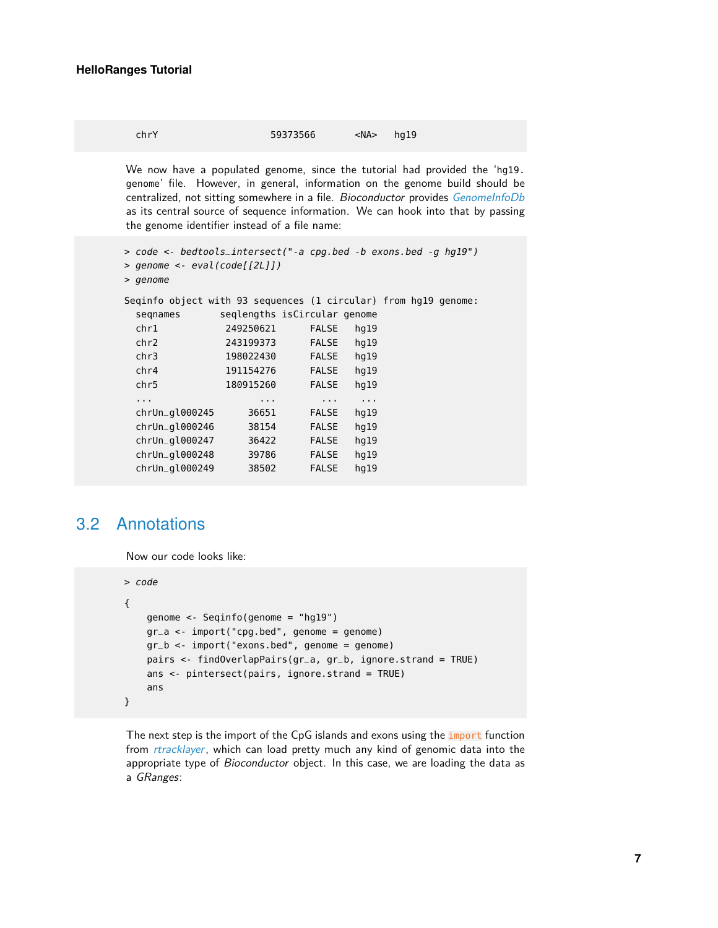| chrY | 59373566 | $<$ NA $>$ | hq19 |  |
|------|----------|------------|------|--|
|------|----------|------------|------|--|

We now have a populated genome, since the tutorial had provided the 'hg19. genome' file. However, in general, information on the genome build should be centralized, not sitting somewhere in a file. Bioconductor provides [GenomeInfoDb](http://bioconductor.org/packages/GenomeInfoDb) as its central source of sequence information. We can hook into that by passing the genome identifier instead of a file name:

```
> code <- bedtools_intersect("-a cpg.bed -b exons.bed -g hg19")
> genome <- eval(code[[2L]])
> genome
Seqinfo object with 93 sequences (1 circular) from hg19 genome:
 seqnames seqlengths isCircular genome
 chr1 249250621 FALSE hg19
 chr2 243199373 FALSE hg19
 chr3 198022430 FALSE hg19
 chr4 191154276 FALSE hg19
 chr5 180915260 FALSE hg19
 ... ... ... ...
 chrUn_gl000245 36651 FALSE hg19
 chrUn_gl000246 38154 FALSE hg19
 chrUn_gl000247 36422 FALSE hg19
 chrUn_gl000248 39786 FALSE hg19
 chrUn_gl000249 38502 FALSE hg19
```
# <span id="page-6-0"></span>3.2 Annotations

Now our code looks like:

```
> code
{
    genome <- Seqinfo(genome = "hg19")
    gr_a <- import("cpg.bed", genome = genome)
    gr_b < -import("exons.bed", genome = genome)pairs <- findOverlapPairs(gr_a, gr_b, ignore.strand = TRUE)
    ans <- pintersect(pairs, ignore.strand = TRUE)
    ans
}
```
The next step is the import of the CpG islands and exons using the *import* function from [rtracklayer](http://bioconductor.org/packages/rtracklayer), which can load pretty much any kind of genomic data into the appropriate type of *Bioconductor* object. In this case, we are loading the data as a GRanges: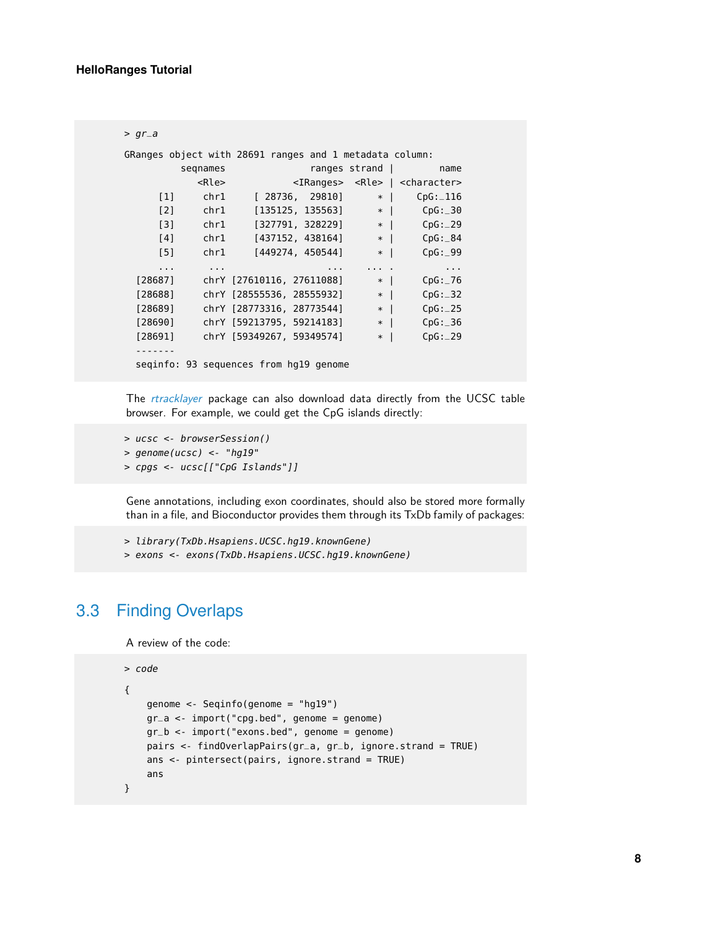```
> gr_aGRanges object with 28691 ranges and 1 metadata column:
       seqnames ranges strand | name
         <Rle> <IRanges> <Rle> | <character>
    [1] chr1 [ 28736, 29810] * | CpG:_116
    [2] chr1 [135125, 135563] * | CpG:_30
    [3] chr1 [327791, 328229] * | CpG:_29
    [4] chr1 [437152, 438164] * | CpG:_84
    [5] chr1 [449274, 450544] * | CpG:_99
    ... ... ... ... . ...
 [28687] chrY [27610116, 27611088] * | CpG:_76
 [28688] chrY [28555536, 28555932] * | CpG:_32
 [28689] chrY [28773316, 28773544] * | CpG:_25
 [28690] chrY [59213795, 59214183] * | CpG:_36
 [28691] chrY [59349267, 59349574] * | CpG: 29
 -------
 seqinfo: 93 sequences from hg19 genome
```
The [rtracklayer](http://bioconductor.org/packages/rtracklayer) package can also download data directly from the UCSC table browser. For example, we could get the CpG islands directly:

```
> ucsc <- browserSession()
> genome(ucsc) <- "hg19"
> cpgs <- ucsc[["CpG Islands"]]
```
Gene annotations, including exon coordinates, should also be stored more formally than in a file, and Bioconductor provides them through its TxDb family of packages:

> library(TxDb.Hsapiens.UCSC.hg19.knownGene)

<span id="page-7-0"></span>> exons <- exons(TxDb.Hsapiens.UCSC.hg19.knownGene)

## 3.3 Finding Overlaps

A review of the code:

```
> code
{
    genome <- Seqinfo(genome = "hg19")
    gr_a <- import("cpg.bed", genome = genome)
    gr_b <- import("exons.bed", genome = genome)
    pairs <- findOverlapPairs(gr_a, gr_b, ignore.strand = TRUE)
    ans <- pintersect(pairs, ignore.strand = TRUE)
    ans
}
```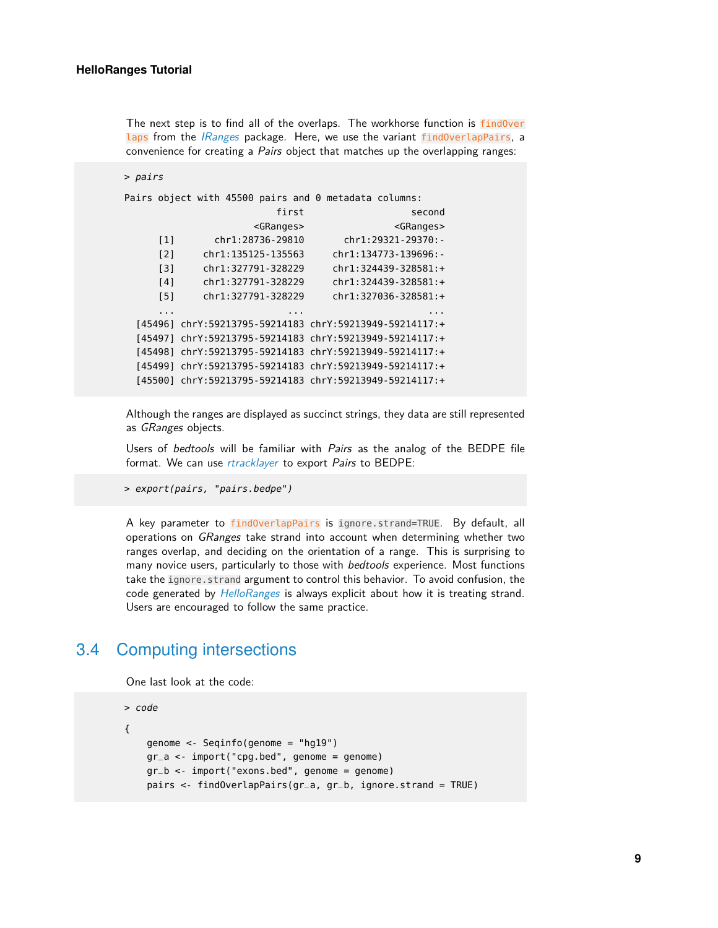The next step is to find all of the overlaps. The workhorse function is findOver laps from the *[IRanges](http://bioconductor.org/packages/IRanges)* package. Here, we use the variant findOverlapPairs, a convenience for creating a Pairs object that matches up the overlapping ranges:

```
> pairs
Pairs object with 45500 pairs and 0 metadata columns:
                      first second
                   <GRanges> <GRanges>
     [1] chr1:28736-29810 chr1:29321-29370:-
     [2] chr1:135125-135563 chr1:134773-139696:-
     [3] chr1:327791-328229 chr1:324439-328581:+
     [4] chr1:327791-328229 chr1:324439-328581:+
     [5] chr1:327791-328229 chr1:327036-328581:+
     ... ... ...
 [45496] chrY:59213795-59214183 chrY:59213949-59214117:+
 [45497] chrY:59213795-59214183 chrY:59213949-59214117:+
 [45498] chrY:59213795-59214183 chrY:59213949-59214117:+
 [45499] chrY:59213795-59214183 chrY:59213949-59214117:+
 [45500] chrY:59213795-59214183 chrY:59213949-59214117:+
```
Although the ranges are displayed as succinct strings, they data are still represented as GRanges objects.

Users of bedtools will be familiar with Pairs as the analog of the BEDPE file format. We can use *[rtracklayer](http://bioconductor.org/packages/rtracklayer)* to export Pairs to BEDPE:

> export(pairs, "pairs.bedpe")

A key parameter to findOverlapPairs is ignore.strand=TRUE. By default, all operations on *GRanges* take strand into account when determining whether two ranges overlap, and deciding on the orientation of a range. This is surprising to many novice users, particularly to those with *bedtools* experience. Most functions take the ignore.strand argument to control this behavior. To avoid confusion, the code generated by [HelloRanges](http://bioconductor.org/packages/HelloRanges) is always explicit about how it is treating strand. Users are encouraged to follow the same practice.

### <span id="page-8-0"></span>3.4 Computing intersections

One last look at the code:

```
> code
{
   genome <- Seqinfo(genome = "hg19")
   gr_a < -import("cpg.bed", genome = genome)gr_b <- import("exons.bed", genome = genome)
   pairs <- findOverlapPairs(gr_a, gr_b, ignore.strand = TRUE)
```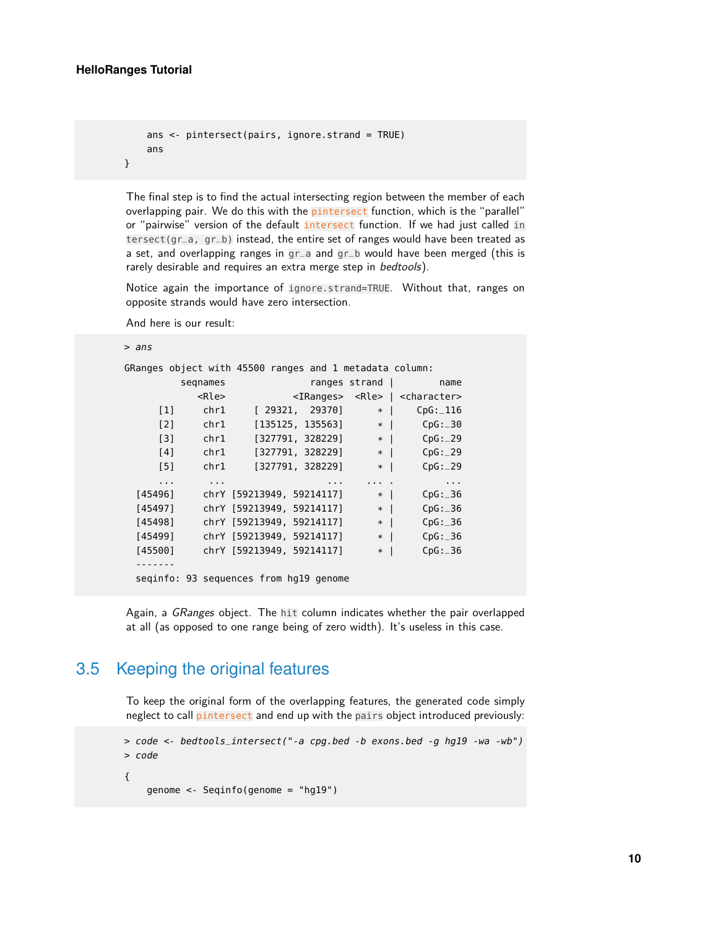}

```
ans <- pintersect(pairs, ignore.strand = TRUE)
ans
```
The final step is to find the actual intersecting region between the member of each overlapping pair. We do this with the *pintersect* function, which is the "parallel" or "pairwise" version of the default intersect function. If we had just called in tersect(gr\_a, gr\_b) instead, the entire set of ranges would have been treated as a set, and overlapping ranges in gr\_a and gr\_b would have been merged (this is rarely desirable and requires an extra merge step in bedtools).

Notice again the importance of ignore.strand=TRUE. Without that, ranges on opposite strands would have zero intersection.

And here is our result:

> ans

| GRanges object with 45500 ranges and 1 metadata column: |                                        |                      |                           |          |                   |                                                           |
|---------------------------------------------------------|----------------------------------------|----------------------|---------------------------|----------|-------------------|-----------------------------------------------------------|
|                                                         | segnames                               |                      |                           |          | ranges strand $ $ | name                                                      |
|                                                         |                                        | $<$ Rle $>$          |                           |          |                   | <iranges> <rle>   <character></character></rle></iranges> |
| $\lceil 1 \rceil$                                       |                                        | chr1                 | [29321, 29370]            |          | $*$               | CpG: 116                                                  |
| $\lceil 2 \rceil$                                       |                                        | chr1                 | [135125, 135563]          |          | $*$               | CpG: 30                                                   |
| $\lceil 3 \rceil$                                       |                                        | chr1                 | [327791, 328229]          |          | $*$               | CpG: 29                                                   |
| [4]                                                     |                                        | chr1                 | [327791, 328229]          |          | $*$               | CpG: 29                                                   |
| [5]                                                     |                                        | chr1                 | [327791, 328229]          |          | $*$               | CpG: 29                                                   |
| $\cdots$                                                |                                        | $\sim$ $\sim$ $\sim$ |                           | $\cdots$ | $\cdots$          | $\sim$ $\sim$ $\sim$                                      |
| [45496]                                                 |                                        |                      | chrY [59213949, 59214117] |          | $*$               | CpG: 36                                                   |
| [45497]                                                 |                                        |                      | chrY [59213949, 59214117] |          | $*$               | CpG: 36                                                   |
| [45498]                                                 |                                        |                      | chrY [59213949, 59214117] |          | $*$               | CpG: 36                                                   |
| [45499]                                                 |                                        |                      | chrY [59213949, 59214117] |          | $*$               | CpG: 36                                                   |
| [45500]                                                 |                                        |                      | chrY [59213949, 59214117] |          | $*$               | CpG: 36                                                   |
|                                                         |                                        |                      |                           |          |                   |                                                           |
|                                                         | seginfo: 93 sequences from hg19 genome |                      |                           |          |                   |                                                           |

<span id="page-9-0"></span>Again, a GRanges object. The hit column indicates whether the pair overlapped at all (as opposed to one range being of zero width). It's useless in this case.

# 3.5 Keeping the original features

To keep the original form of the overlapping features, the generated code simply neglect to call pintersect and end up with the pairs object introduced previously:

```
> code <- bedtools_intersect("-a cpg.bed -b exons.bed -g hg19 -wa -wb")
> code
{
    genome <- Seqinfo(genome = "hg19")
```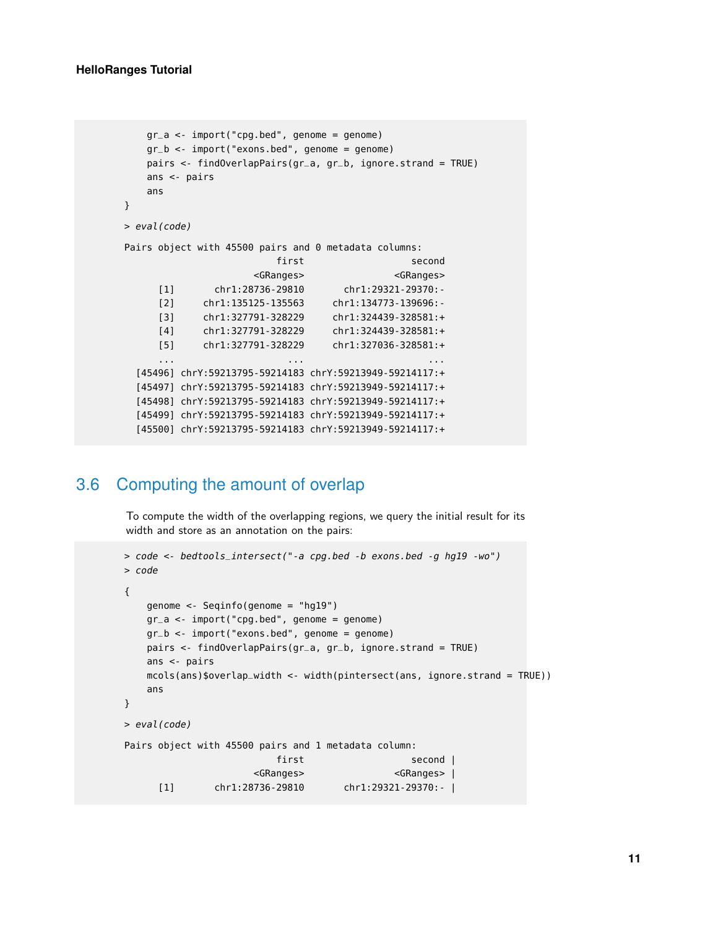```
gr_a <- import("cpg.bed", genome = genome)
   gr_b <- import("exons.bed", genome = genome)
   pairs <- findOverlapPairs(gr_a, gr_b, ignore.strand = TRUE)
   ans <- pairs
   ans
}
> eval(code)
Pairs object with 45500 pairs and 0 metadata columns:
                       first second
                    <GRanges> <GRanges>
     [1] chr1:28736-29810 chr1:29321-29370:-
     [2] chr1:135125-135563 chr1:134773-139696:-
     [3] chr1:327791-328229 chr1:324439-328581:+
     [4] chr1:327791-328229 chr1:324439-328581:+
     [5] chr1:327791-328229 chr1:327036-328581:+
     ... ... ...
  [45496] chrY:59213795-59214183 chrY:59213949-59214117:+
  [45497] chrY:59213795-59214183 chrY:59213949-59214117:+
  [45498] chrY:59213795-59214183 chrY:59213949-59214117:+
  [45499] chrY:59213795-59214183 chrY:59213949-59214117:+
  [45500] chrY:59213795-59214183 chrY:59213949-59214117:+
```
# <span id="page-10-0"></span>3.6 Computing the amount of overlap

To compute the width of the overlapping regions, we query the initial result for its width and store as an annotation on the pairs:

```
> code <- bedtools_intersect("-a cpg.bed -b exons.bed -g hg19 -wo")
> code
{
   genome <- Seqinfo(genome = "hg19")
   gr_a <- import("cpg.bed", genome = genome)
   gr_b < -import("exons.bed", genome = genome)pairs <- findOverlapPairs(gr_a, gr_b, ignore.strand = TRUE)
   ans <- pairs
   mcols(ans)$overlap_width <- width(pintersect(ans, ignore.strand = TRUE))
   ans
}
> eval(code)
Pairs object with 45500 pairs and 1 metadata column:
                         first second |
                     <GRanges> <GRanges> |
     [1] chr1:28736-29810 chr1:29321-29370:- |
```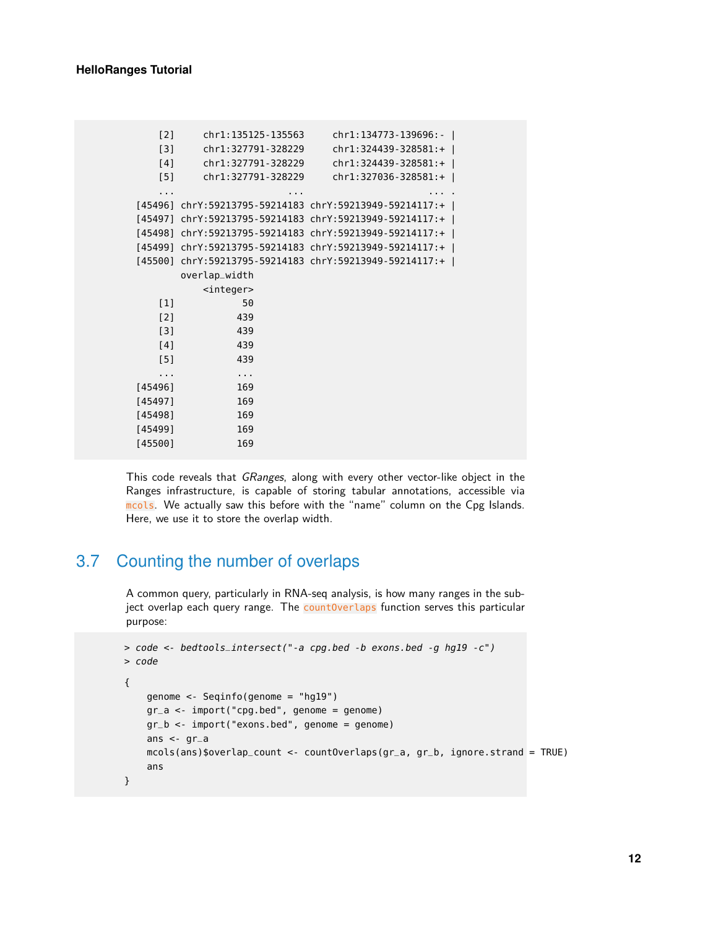| [2]     | chr1:135125-135563  | chr1:134773-139696:-                                    |
|---------|---------------------|---------------------------------------------------------|
| $[3]$   | chr1:327791-328229  | $chr1:324439-328581++$                                  |
| [4]     | chr1:327791-328229  | $chr1:324439-328581:+$                                  |
| [5]     | chr1:327791-328229  | $chr1:327036 - 328581: +$                               |
| .       |                     |                                                         |
| [45496] |                     | chrY:59213795-59214183 chrY:59213949-59214117:+         |
| [45497] |                     | chrY:59213795-59214183 chrY:59213949-59214117:+         |
|         |                     | [45498] chrY:59213795-59214183 chrY:59213949-59214117:+ |
|         |                     | [45499] chrY:59213795-59214183 chrY:59213949-59214117:+ |
|         |                     | [45500] chrY:59213795-59214183 chrY:59213949-59214117:+ |
|         | overlap_width       |                                                         |
|         | <integer></integer> |                                                         |
| $[1]$   | 50                  |                                                         |
| $[2]$   | 439                 |                                                         |
| [3]     | 439                 |                                                         |
| [4]     | 439                 |                                                         |
| $[5]$   | 439                 |                                                         |
| .       | $\cdots$            |                                                         |
| [45496] | 169                 |                                                         |
| [45497] | 169                 |                                                         |
| [45498] | 169                 |                                                         |
| [45499] | 169                 |                                                         |
| [45500] | 169                 |                                                         |

<span id="page-11-0"></span>This code reveals that GRanges, along with every other vector-like object in the Ranges infrastructure, is capable of storing tabular annotations, accessible via mcols. We actually saw this before with the "name" column on the Cpg Islands. Here, we use it to store the overlap width.

## 3.7 Counting the number of overlaps

A common query, particularly in RNA-seq analysis, is how many ranges in the subject overlap each query range. The countOverlaps function serves this particular purpose:

```
> code <- bedtools_intersect("-a cpg.bed -b exons.bed -g hg19 -c")
> code
{
    genome <- Seqinfo(genome = "hg19")
    gr_a < -import("cpg.bed", genome = genome)gr_b <- import("exons.bed", genome = genome)
    ans \lt- gr_amcols(ans)$overlap_count <- countOverlaps(gr_a, gr_b, ignore.strand = TRUE)
    ans
}
```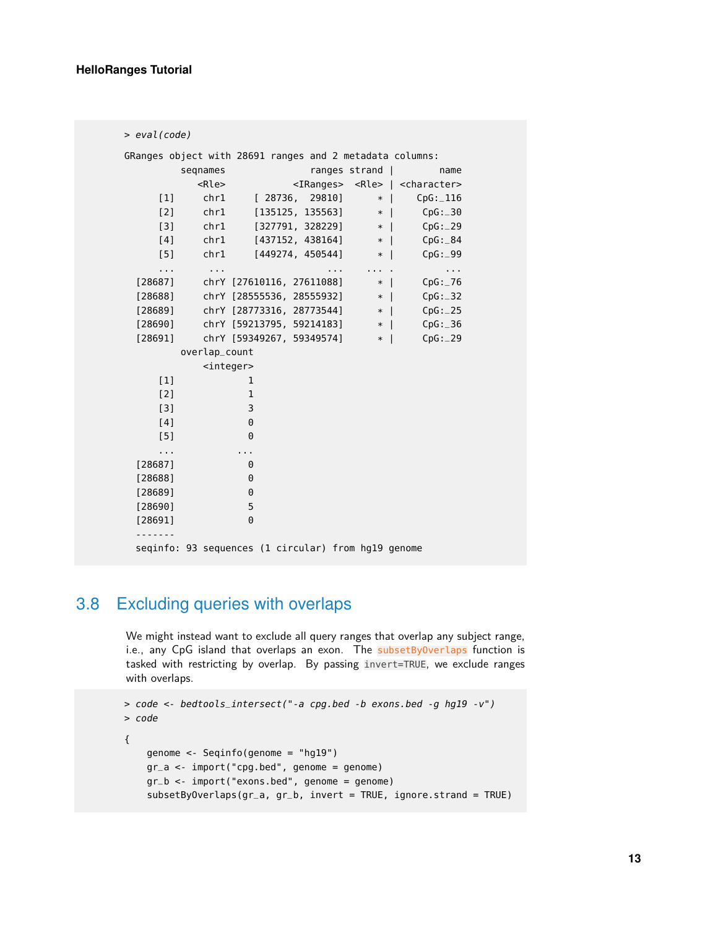```
> eval(code)
GRanges object with 28691 ranges and 2 metadata columns:
       seqnames ranges strand | name
         <Rle> <IRanges> <Rle> | <character>
    [1] chr1 [ 28736, 29810] * | CpG:_116
    [2] chr1 [135125, 135563] * | CpG:_30
    [3] chr1 [327791, 328229] * | CpG:_29
    [4] chr1 [437152, 438164] * | CpG:_84<br>
[5] chr1 [449274, 450544] * | CpG:_99
    [5] chr1 [449274, 450544] * | CpG:_99
    ... ... ... ... . ...
 [28687] chrY [27610116, 27611088] * | CpG:_76
 [28688] chrY [28555536, 28555932] * | CpG:_32
 [28689] chrY [28773316, 28773544] * | CpG:_25
 [28690] chrY [59213795, 59214183] * | CpG: 36
 [28691] chrY [59349267, 59349574] * | CpG:_29
       overlap_count
         <integer>
    [1] 1
    [2] 1
    [3] 3
    [4] 0
    [5] 0
    ... ...
 [28687] 0
 [28688] 0
 [28689] 0
 [28690] 5
 [28691] 0
 -------
 seqinfo: 93 sequences (1 circular) from hg19 genome
```
# <span id="page-12-0"></span>3.8 Excluding queries with overlaps

We might instead want to exclude all query ranges that overlap any subject range, i.e., any CpG island that overlaps an exon. The subsetByOverlaps function is tasked with restricting by overlap. By passing invert=TRUE, we exclude ranges with overlaps.

```
> code <- bedtools_intersect("-a cpg.bed -b exons.bed -g hg19 -v")
> code
{
    genome <- Seqinfo(genome = "hg19")
    gr_a <- import("cpg.bed", genome = genome)
    gr_b <- import("exons.bed", genome = genome)
    subsetByOverlaps(gr_a, gr_b, invert = TRUE, ignore.strand = TRUE)
```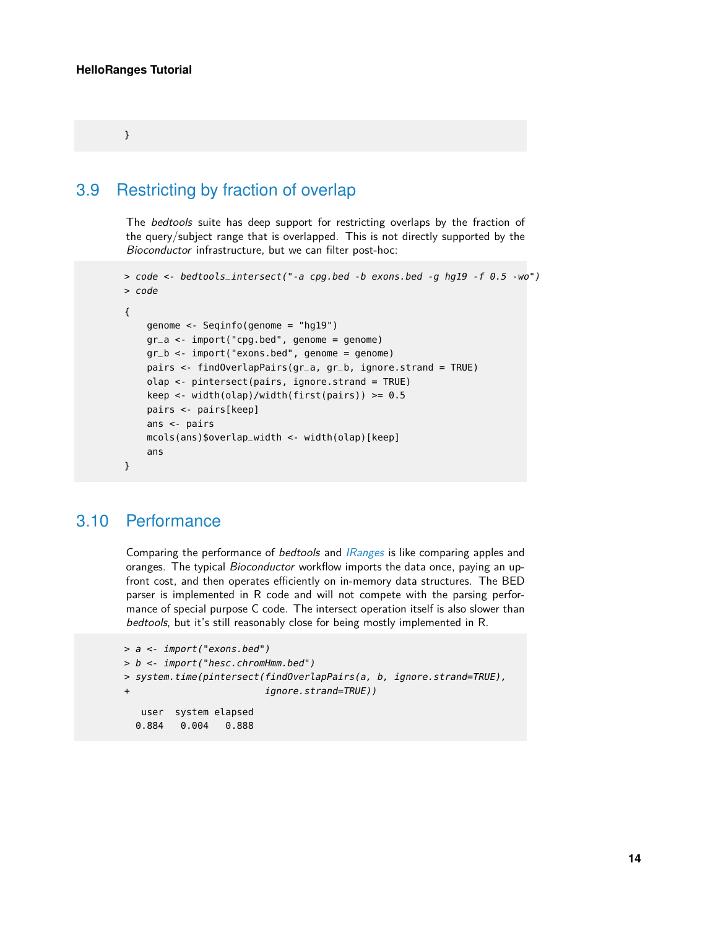<span id="page-13-0"></span>}

## 3.9 Restricting by fraction of overlap

The bedtools suite has deep support for restricting overlaps by the fraction of the query/subject range that is overlapped. This is not directly supported by the Bioconductor infrastructure, but we can filter post-hoc:

```
> code <- bedtools_intersect("-a cpg.bed -b exons.bed -g hg19 -f 0.5 -wo")
> code
{
    genome <- Seqinfo(genome = "hg19")
    gr_a <- import("cpg.bed", genome = genome)
    gr_b <- import("exons.bed", genome = genome)
    pairs <- findOverlapPairs(gr_a, gr_b, ignore.strand = TRUE)
    olap <- pintersect(pairs, ignore.strand = TRUE)
    keep <- width(olap)/width(first(pairs)) > = 0.5pairs <- pairs[keep]
    ans <- pairs
    mcols(ans)$overlap_width <- width(olap)[keep]
    ans
}
```
### <span id="page-13-1"></span>3.10 Performance

Comparing the performance of bedtools and [IRanges](http://bioconductor.org/packages/IRanges) is like comparing apples and oranges. The typical *Bioconductor* workflow imports the data once, paying an upfront cost, and then operates efficiently on in-memory data structures. The BED parser is implemented in R code and will not compete with the parsing performance of special purpose C code. The intersect operation itself is also slower than bedtools, but it's still reasonably close for being mostly implemented in R.

```
> a <- import("exons.bed")
> b <- import("hesc.chromHmm.bed")
> system.time(pintersect(findOverlapPairs(a, b, ignore.strand=TRUE),
+ ignore.strand=TRUE))
  user system elapsed
 0.884 0.004 0.888
```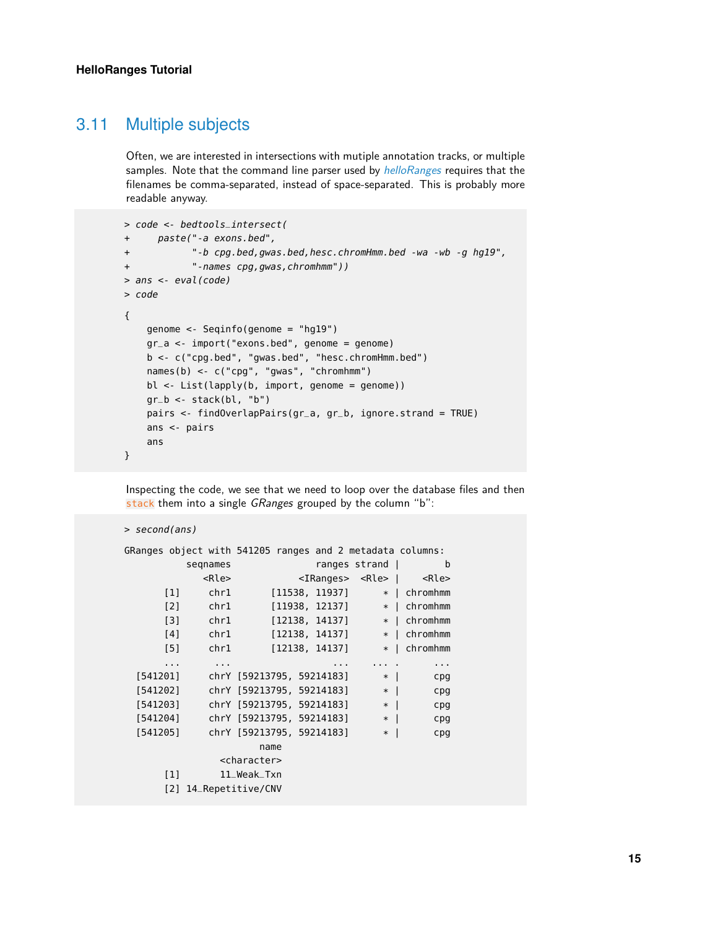### 3.11 Multiple subjects

> second(ans)

Often, we are interested in intersections with mutiple annotation tracks, or multiple samples. Note that the command line parser used by *[helloRanges](http://bioconductor.org/packages/helloRanges)* requires that the filenames be comma-separated, instead of space-separated. This is probably more readable anyway.

```
> code <- bedtools_intersect(
+ paste("-a exons.bed",
+ "-b cpg.bed,gwas.bed,hesc.chromHmm.bed -wa -wb -g hg19",
+ "-names cpg,gwas,chromhmm"))
> ans <- eval(code)
> code
{
    genome <- Seqinfo(genome = "hg19")
    gr_a < -import("exons.bed", genome = genome)b <- c("cpg.bed", "gwas.bed", "hesc.chromHmm.bed")
    names(b) <- c("cpg", "gwas", "chromhmm")
    bl <- List(lapply(b, import, genome = genome))
    gr_b < - stack(bl, "b")
    pairs <- findOverlapPairs(gr_a, gr_b, ignore.strand = TRUE)
    ans <- pairs
    ans
}
```
Inspecting the code, we see that we need to loop over the database files and then stack them into a single GRanges grouped by the column "b":

```
GRanges object with 541205 ranges and 2 metadata columns:
        seqnames ranges strand | b
          <Rle> <IRanges> <Rle> | <Rle>
     [1] chr1 [11538, 11937] * | chromhmm
     [2] chr1 [11938, 12137] * | chromhmm
     [3] chr1 [12138, 14137] * | chromhmm
     [4] chr1 [12138, 14137] * | chromhmm
     [5] chr1 [12138, 14137] * | chromhmm
     ... ... ... ... . ...
 [541201] chrY [59213795, 59214183] * | cpg
 [541202] chrY [59213795, 59214183] * | cpg
          chrY [59213795, 59214183] * | cpg
 [541204] chrY [59213795, 59214183] * | cpg
 [541205] chrY [59213795, 59214183] * | cpg
                 name
            <character>
     [1] 11_Weak_Txn
     [2] 14_Repetitive/CNV
```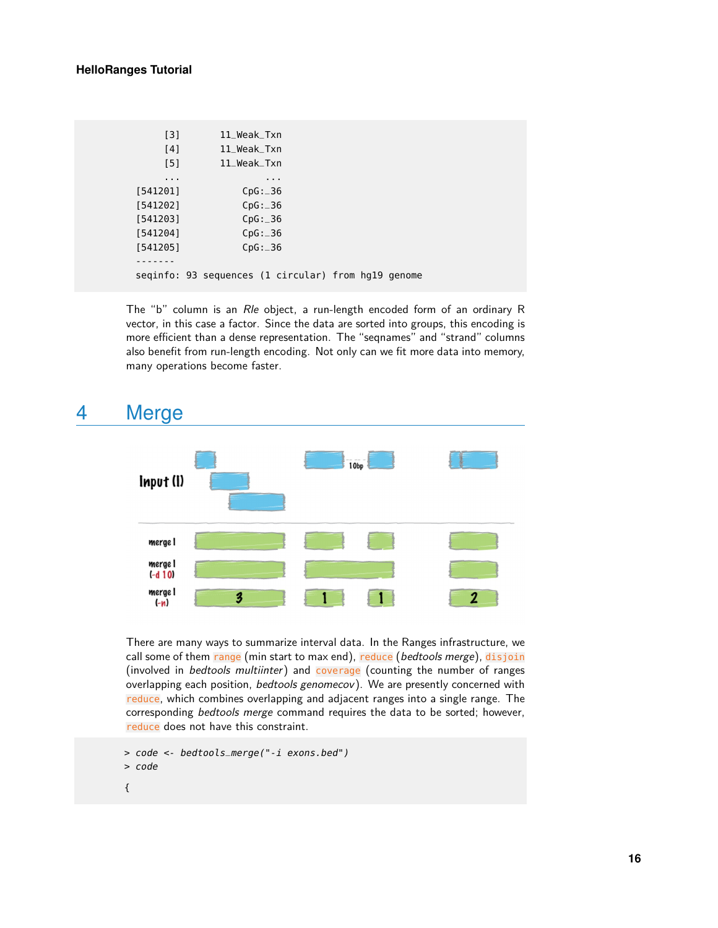#### **HelloRanges Tutorial**

```
[3] 11_Weak_Txn
   [4] 11_Weak_Txn
   [5] 11_Weak_Txn
   ... ...
[541201] CpG:_36
[541202] CpG:_36
[541203] CpG:_36
[541204] CpG:_36
[541205] CpG:_36
-------
seqinfo: 93 sequences (1 circular) from hg19 genome
```
The "b" column is an Rle object, a run-length encoded form of an ordinary R vector, in this case a factor. Since the data are sorted into groups, this encoding is more efficient than a dense representation. The "seqnames" and "strand" columns also benefit from run-length encoding. Not only can we fit more data into memory, many operations become faster.

# 4 Merge

<span id="page-15-0"></span>

There are many ways to summarize interval data. In the Ranges infrastructure, we call some of them range (min start to max end), reduce (bedtools merge), disjoin (involved in *bedtools multiinter*) and coverage (counting the number of ranges overlapping each position, *bedtools genomecov*). We are presently concerned with reduce, which combines overlapping and adjacent ranges into a single range. The corresponding bedtools merge command requires the data to be sorted; however, reduce does not have this constraint.

```
> code <- bedtools_merge("-i exons.bed")
```
> code

{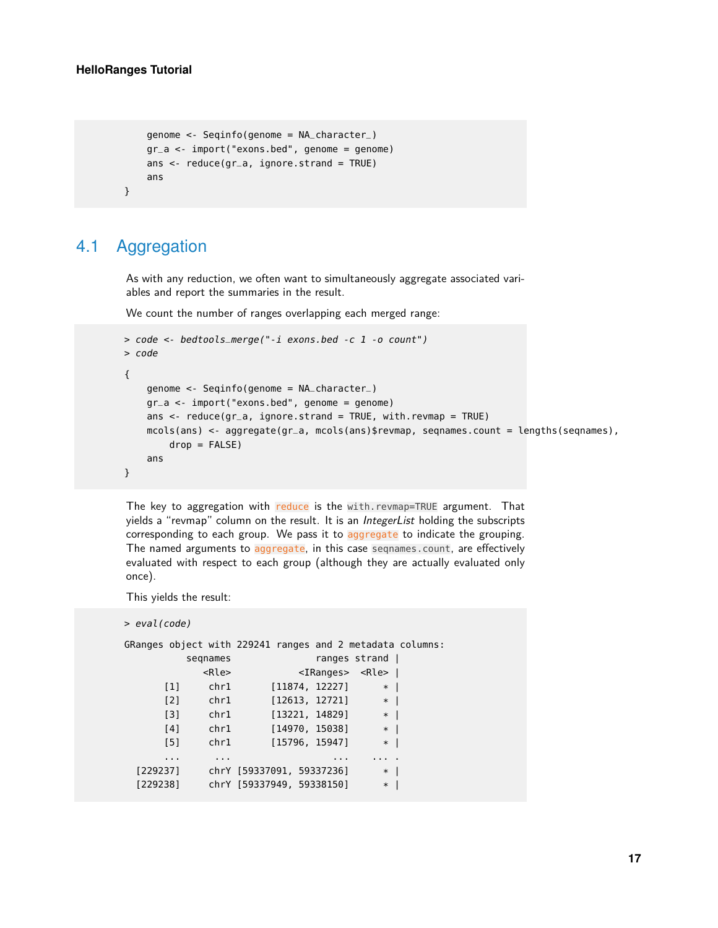```
genome <- Seqinfo(genome = NA_character_)
gr_a <- import("exons.bed", genome = genome)
ans \leq reduce(gr_a, ignore.strand = TRUE)
ans
```
# 4.1 Aggregation

<span id="page-16-0"></span>}

As with any reduction, we often want to simultaneously aggregate associated variables and report the summaries in the result.

We count the number of ranges overlapping each merged range:

```
> code <- bedtools_merge("-i exons.bed -c 1 -o count")
> code
{
    genome <- Seqinfo(genome = NA_character_)
    gr_a <- import("exons.bed", genome = genome)
    ans \leq- reduce(gr_a, ignore.strand = TRUE, with.revmap = TRUE)
    mcols(ans) <- aggregate(gr_a, mcols(ans)$revmap, seqnames.count = lengths(seqnames),
        drop = FALSE)
    ans
}
```
The key to aggregation with reduce is the with.revmap=TRUE argument. That yields a "revmap" column on the result. It is an IntegerList holding the subscripts corresponding to each group. We pass it to aggregate to indicate the grouping. The named arguments to aggregate, in this case seqnames.count, are effectively evaluated with respect to each group (although they are actually evaluated only once).

This yields the result:

```
> eval(code)
```

| GRanges object with 229241 ranges and 2 metadata columns: |                                   |                |                           |             |                         |          |
|-----------------------------------------------------------|-----------------------------------|----------------|---------------------------|-------------|-------------------------|----------|
|                                                           | ranges strand                     |                |                           | segnames    |                         |          |
|                                                           | <iranges> <rle>  </rle></iranges> |                |                           | <rle></rle> |                         |          |
|                                                           | $\ast$                            | [11874, 12227] |                           | chr1        | $\lceil 1 \rceil$       |          |
|                                                           | $\ast$<br>$\mathbf{I}$            | [12613, 12721] |                           | chr1        | $\lceil 2 \rceil$       |          |
|                                                           | $*$                               | [13221, 14829] |                           | chr1        | [3]                     |          |
|                                                           | $\ast$<br>-1                      | [14970, 15038] |                           | chr1        | [4]                     |          |
|                                                           | $\ast$                            | [15796, 15947] |                           | chr1        | [5]                     |          |
|                                                           |                                   | $\cdots$       |                           | $\cdots$    | $\cdot$ $\cdot$ $\cdot$ |          |
|                                                           | $\ast$                            |                | chrY [59337091, 59337236] |             |                         | [229237] |
|                                                           | $\ast$                            |                | chrY [59337949, 59338150] |             |                         | [229238] |
|                                                           |                                   |                |                           |             |                         |          |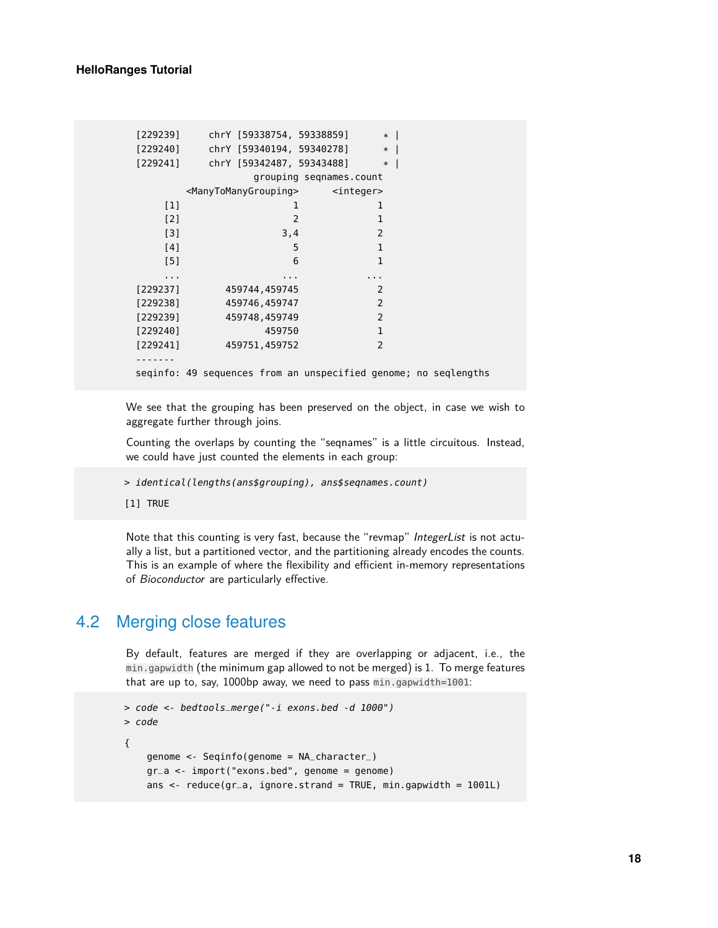| [229239] | chrY [59338754, 59338859]                                                                                                                                                                                                                                       | $*1$                    |  |
|----------|-----------------------------------------------------------------------------------------------------------------------------------------------------------------------------------------------------------------------------------------------------------------|-------------------------|--|
| [229240] | chrY [59340194, 59340278]                                                                                                                                                                                                                                       | $\ast$                  |  |
| [229241] | chrY [59342487, 59343488]                                                                                                                                                                                                                                       | $\ast$                  |  |
|          |                                                                                                                                                                                                                                                                 | grouping seqnames.count |  |
|          | <manytomanygrouping> strateger&gt; integer&gt; strateger&gt;  strateger&gt;  strateger&gt;  strateger&gt; strateger&gt; strateger&gt; strateger&gt; strateger&gt; strateger&gt; strateger&gt; strateger&gt; strateger&gt; strateger&gt; st</manytomanygrouping> |                         |  |
| $[1]$    | 1                                                                                                                                                                                                                                                               | 1                       |  |
| $[2]$    | $\overline{2}$                                                                                                                                                                                                                                                  | 1                       |  |
| $[3]$    | 3,4                                                                                                                                                                                                                                                             | $\overline{2}$          |  |
| [4]      | 5                                                                                                                                                                                                                                                               | $\mathbf{1}$            |  |
| [5]      | 6                                                                                                                                                                                                                                                               | 1                       |  |
| .        |                                                                                                                                                                                                                                                                 | .                       |  |
| [229237] | 459744,459745                                                                                                                                                                                                                                                   | 2                       |  |
| [229238] | 459746,459747                                                                                                                                                                                                                                                   | 2                       |  |
| [229239] | 459748,459749                                                                                                                                                                                                                                                   | 2                       |  |
| [229240] | 459750                                                                                                                                                                                                                                                          | $\mathbf{1}$            |  |
| [229241] | 459751,459752                                                                                                                                                                                                                                                   | 2                       |  |
|          |                                                                                                                                                                                                                                                                 |                         |  |
|          | seginfo: 49 sequences from an unspecified genome; no seglengths                                                                                                                                                                                                 |                         |  |

We see that the grouping has been preserved on the object, in case we wish to aggregate further through joins.

Counting the overlaps by counting the "seqnames" is a little circuitous. Instead, we could have just counted the elements in each group:

> identical(lengths(ans\$grouping), ans\$seqnames.count)

[1] TRUE

<span id="page-17-0"></span>Note that this counting is very fast, because the "revmap" IntegerList is not actually a list, but a partitioned vector, and the partitioning already encodes the counts. This is an example of where the flexibility and efficient in-memory representations of Bioconductor are particularly effective.

# 4.2 Merging close features

By default, features are merged if they are overlapping or adjacent, i.e., the min.gapwidth (the minimum gap allowed to not be merged) is 1. To merge features that are up to, say, 1000bp away, we need to pass min.gapwidth=1001:

```
> code <- bedtools_merge("-i exons.bed -d 1000")
> code
{
    genome <- Seqinfo(genome = NA_character_)
    gr_a <- import("exons.bed", genome = genome)
    ans \leq reduce(gr_a, ignore.strand = TRUE, min.gapwidth = 1001L)
```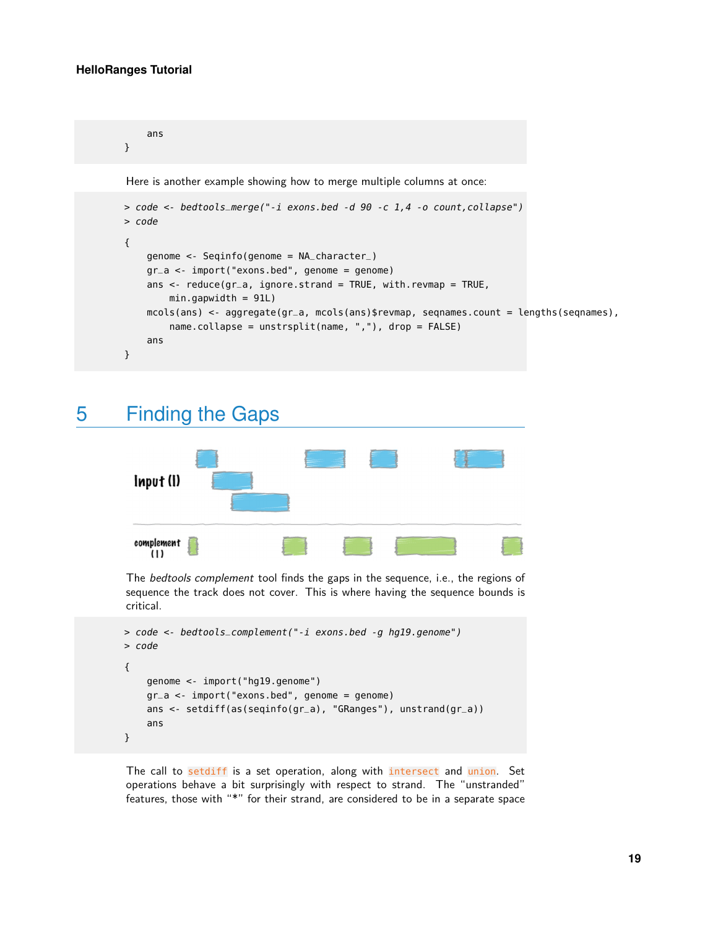#### **HelloRanges Tutorial**

```
ans
}
Here is another example showing how to merge multiple columns at once:
> code <- bedtools_merge("-i exons.bed -d 90 -c 1,4 -o count,collapse")
> code
{
    genome <- Seqinfo(genome = NA_character_)
    gr_a <- import("exons.bed", genome = genome)
    ans \leq reduce(gr_a, ignore.strand = TRUE, with.revmap = TRUE,
        min.gapwidth = 91L)
    mcols(ans) <- aggregate(gr_a, mcols(ans)$revmap, seqnames.count = lengths(seqnames),
        name.collapse = unstrsplit(name, ","), drop = FALSE)
    ans
}
```
# <span id="page-18-0"></span>5 Finding the Gaps



The bedtools complement tool finds the gaps in the sequence, i.e., the regions of sequence the track does not cover. This is where having the sequence bounds is critical.

```
> code <- bedtools_complement("-i exons.bed -g hg19.genome")
> code
{
    genome <- import("hg19.genome")
    gr_a <- import("exons.bed", genome = genome)
    ans <- setdiff(as(seqinfo(gr_a), "GRanges"), unstrand(gr_a))
    ans
}
```
The call to setdiff is a set operation, along with intersect and union. Set operations behave a bit surprisingly with respect to strand. The "unstranded" features, those with "\*" for their strand, are considered to be in a separate space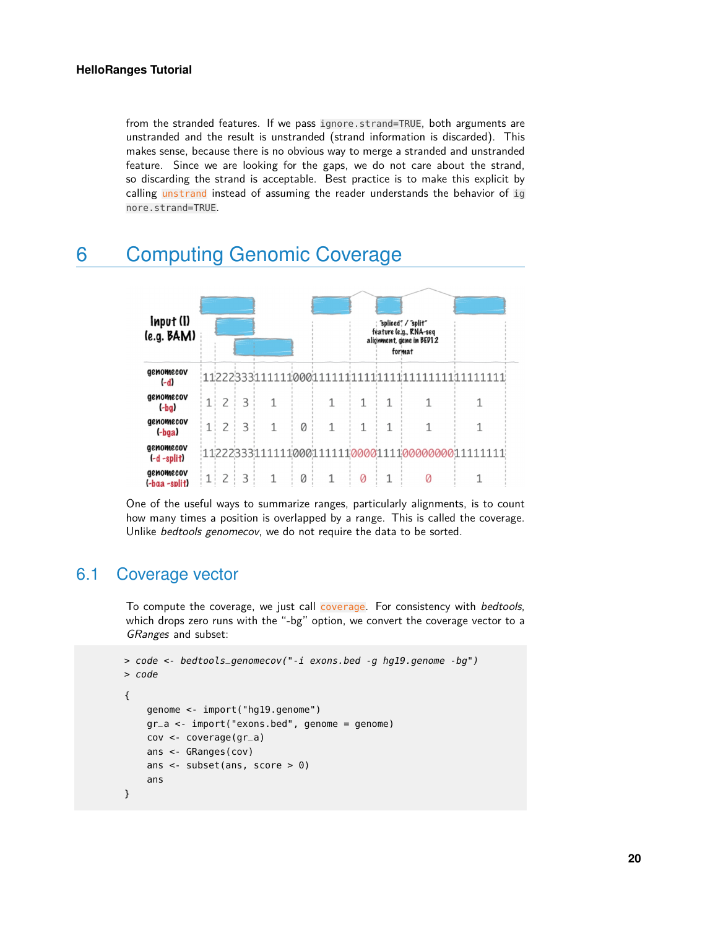from the stranded features. If we pass ignore.strand=TRUE, both arguments are unstranded and the result is unstranded (strand information is discarded). This makes sense, because there is no obvious way to merge a stranded and unstranded feature. Since we are looking for the gaps, we do not care about the strand, so discarding the strand is acceptable. Best practice is to make this explicit by calling unstrand instead of assuming the reader understands the behavior of ig nore.strand=TRUE.

# <span id="page-19-0"></span>6 Computing Genomic Coverage



<span id="page-19-1"></span>One of the useful ways to summarize ranges, particularly alignments, is to count how many times a position is overlapped by a range. This is called the coverage. Unlike bedtools genomecov, we do not require the data to be sorted.

# 6.1 Coverage vector

To compute the coverage, we just call coverage. For consistency with bedtools, which drops zero runs with the "-bg" option, we convert the coverage vector to a GRanges and subset:

```
> code <- bedtools_genomecov("-i exons.bed -g hg19.genome -bg")
> code
{
    genome <- import("hg19.genome")
    qr_a \leq 1 import("exons.bed", genome = genome)
    cov <- coverage(gr_a)
    ans <- GRanges(cov)
    ans <- subset(ans, score > 0)
    ans
}
```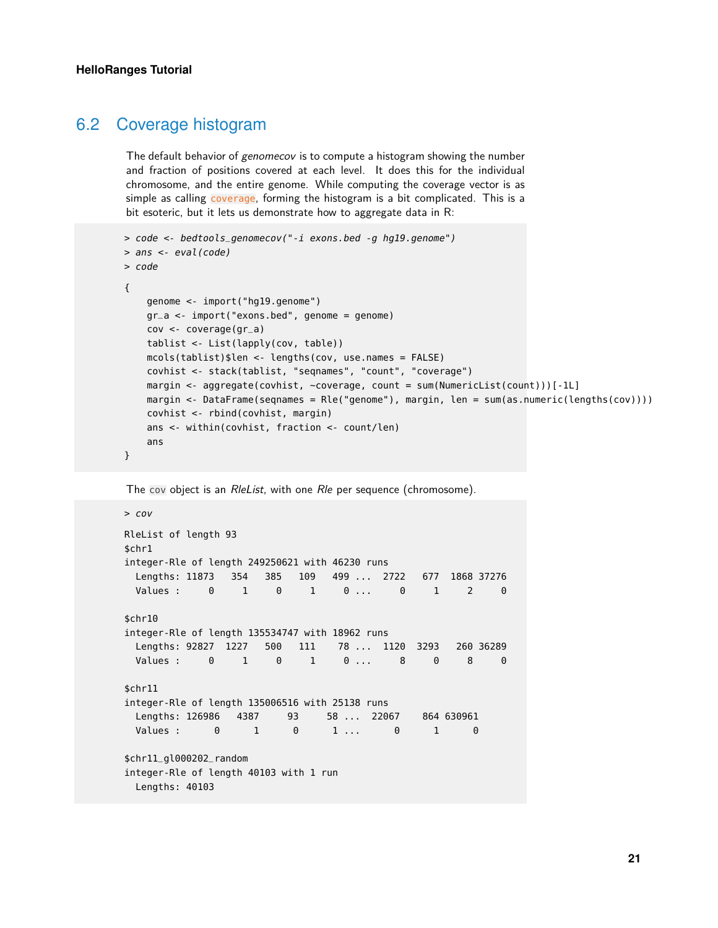### 6.2 Coverage histogram

The default behavior of genomecov is to compute a histogram showing the number and fraction of positions covered at each level. It does this for the individual chromosome, and the entire genome. While computing the coverage vector is as simple as calling coverage, forming the histogram is a bit complicated. This is a bit esoteric, but it lets us demonstrate how to aggregate data in R:

```
> code <- bedtools_genomecov("-i exons.bed -g hg19.genome")
> ans <- eval(code)
> code
{
    genome <- import("hg19.genome")
    gr_a <- import("exons.bed", genome = genome)
    cov <- coverage(gr_a)
   tablist <- List(lapply(cov, table))
    mcols(tablist)$len <- lengths(cov, use.names = FALSE)
    covhist <- stack(tablist, "seqnames", "count", "coverage")
    margin <- aggregate(covhist, ~coverage, count = sum(NumericList(count)))[-1L]
    margin <- DataFrame(seqnames = Rle("genome"), margin, len = sum(as.numeric(lengths(cov))))
    covhist <- rbind(covhist, margin)
    ans <- within(covhist, fraction <- count/len)
    ans
}
```
The cov object is an RleList, with one Rle per sequence (chromosome).

```
> cov
RleList of length 93
$chr1
integer-Rle of length 249250621 with 46230 runs
 Lengths: 11873 354 385 109 499 ... 2722 677 1868 37276
 Values : 0 1 0 1 0 ... 0 1 2 0
$chr10
integer-Rle of length 135534747 with 18962 runs
 Lengths: 92827 1227 500 111 78 ... 1120 3293 260 36289
 Values : 0 1 0 1 0 ... 8 0 8 0
$chr11
integer-Rle of length 135006516 with 25138 runs
 Lengths: 126986 4387 93 58 ... 22067 864 630961
 Values : 0 1 0 1 ... 0 1 0
$chr11_gl000202_random
integer-Rle of length 40103 with 1 run
 Lengths: 40103
```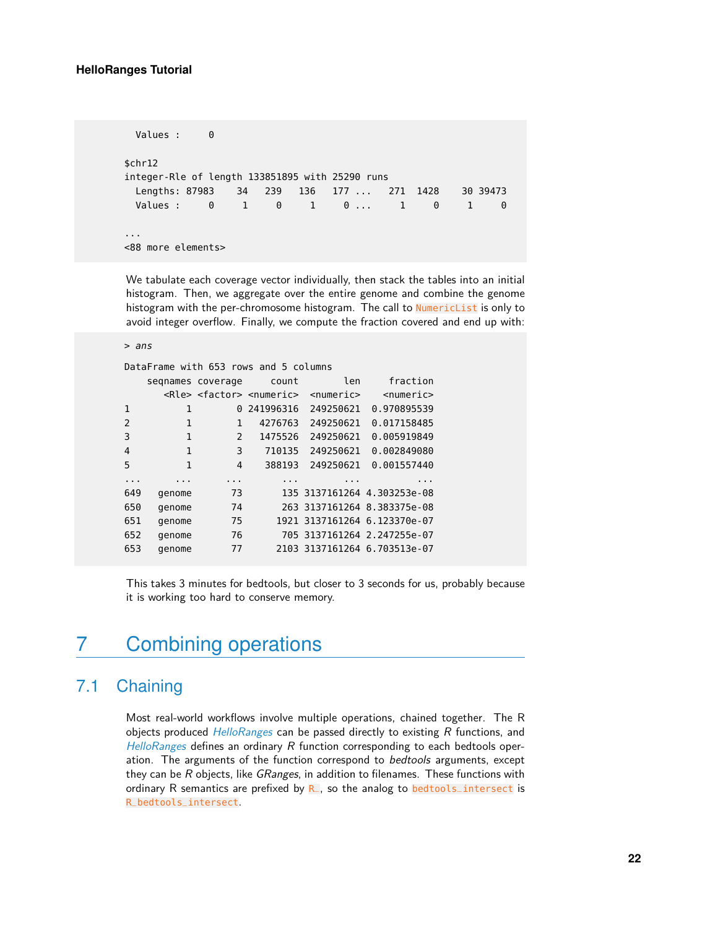Values : 0 \$chr12 integer-Rle of length 133851895 with 25290 runs Lengths: 87983 34 239 136 177 ... 271 1428 30 39473 Values : 0 1 0 1 0 ... 1 0 1 0 ... <88 more elements>

We tabulate each coverage vector individually, then stack the tables into an initial histogram. Then, we aggregate over the entire genome and combine the genome histogram with the per-chromosome histogram. The call to NumericList is only to avoid integer overflow. Finally, we compute the fraction covered and end up with:

> ans

| DataFrame with 653 rows and 5 columns |                   |               |                                                   |                 |                              |  |  |  |
|---------------------------------------|-------------------|---------------|---------------------------------------------------|-----------------|------------------------------|--|--|--|
|                                       | segnames coverage |               | count                                             | len             | fraction                     |  |  |  |
|                                       |                   |               | <rle> <factor> <numeric></numeric></factor></rle> | $<$ numeric $>$ | <numeric></numeric>          |  |  |  |
| 1                                     | 1                 | 0             | 241996316                                         | 249250621       | 0.970895539                  |  |  |  |
| 2                                     | 1                 | 1             | 4276763                                           | 249250621       | 0.017158485                  |  |  |  |
| 3                                     | 1                 | $\mathcal{P}$ | 1475526                                           | 249250621       | 0.005919849                  |  |  |  |
| 4                                     | 1                 | 3             | 710135                                            | 249250621       | 0.002849080                  |  |  |  |
| 5                                     | 1                 | 4             | 388193                                            | 249250621       | 0.001557440                  |  |  |  |
| .                                     |                   |               | .                                                 | .               | .                            |  |  |  |
| 649                                   | genome            | 73            |                                                   |                 | 135 3137161264 4.303253e-08  |  |  |  |
| 650                                   | genome            | 74            |                                                   |                 | 263 3137161264 8.383375e-08  |  |  |  |
| 651                                   | genome            | 75            |                                                   |                 | 1921 3137161264 6.123370e-07 |  |  |  |
| 652                                   | genome            | 76            |                                                   |                 | 705 3137161264 2.247255e-07  |  |  |  |
| 653                                   | genome            | 77            |                                                   |                 | 2103 3137161264 6.703513e-07 |  |  |  |

<span id="page-21-0"></span>This takes 3 minutes for bedtools, but closer to 3 seconds for us, probably because it is working too hard to conserve memory.

# 7 Combining operations

# 7.1 Chaining

<span id="page-21-1"></span>Most real-world workflows involve multiple operations, chained together. The R objects produced  $H$ elloRanges can be passed directly to existing  $R$  functions, and [HelloRanges](http://bioconductor.org/packages/HelloRanges) defines an ordinary  $R$  function corresponding to each bedtools operation. The arguments of the function correspond to bedtools arguments, except they can be  $R$  objects, like  $GRanges$ , in addition to filenames. These functions with ordinary R semantics are prefixed by  $R$ , so the analog to **bedtools** intersect is R\_bedtools\_intersect.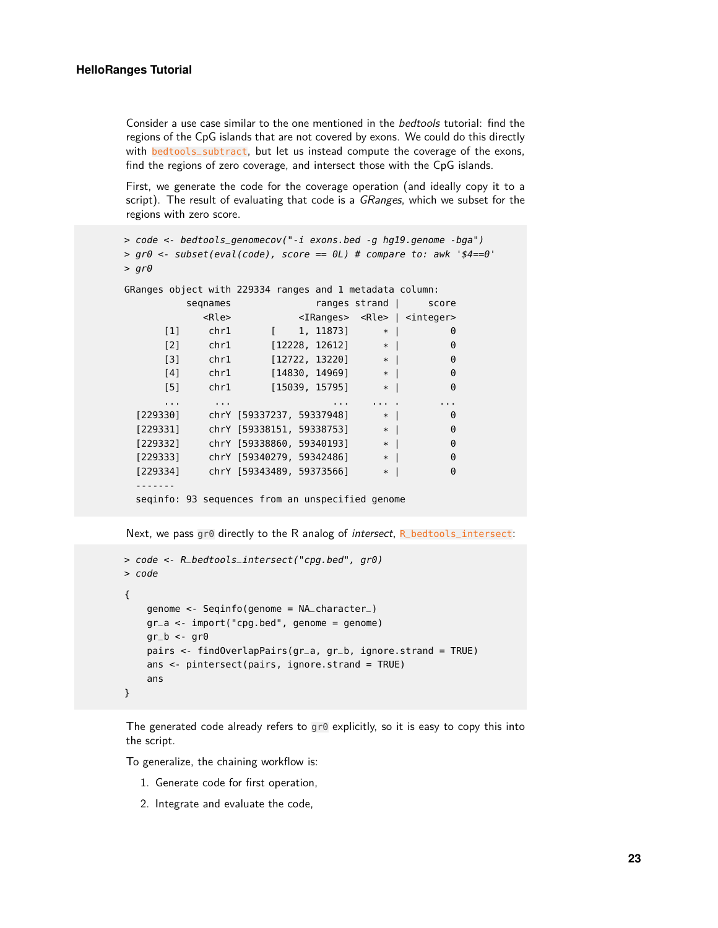Consider a use case similar to the one mentioned in the bedtools tutorial: find the regions of the CpG islands that are not covered by exons. We could do this directly with **bedtools**\_subtract, but let us instead compute the coverage of the exons, find the regions of zero coverage, and intersect those with the CpG islands.

First, we generate the code for the coverage operation (and ideally copy it to a script). The result of evaluating that code is a GRanges, which we subset for the regions with zero score.

```
> code <- bedtools_genomecov("-i exons.bed -g hg19.genome -bga")
> qr\theta <- subset(eval(code), score == \thetaL) # compare to: awk '$4==\theta'
> gr\thetaGRanges object with 229334 ranges and 1 metadata column:
        seqnames ranges strand | score
          <Rle> <IRanges> <Rle> | <integer>
     [1] chr1 [ 1, 11873] * | 0
     [2] chr1 [12228, 12612] * | 0
     [3] chr1 [12722, 13220] * | 0
     [4] chr1 [14830, 14969] * | 0
     [5] chr1 [15039, 15795] * | 0
     ... ... ... ... . ...
 [229330] chrY [59337237, 59337948] * | 0
 [229331] chrY [59338151, 59338753] * | 0
 [229332] chrY [59338860, 59340193] * | 0
 [229333] chrY [59340279, 59342486] * | 0
 [229334] chrY [59343489, 59373566] * | 0
 -------
 seqinfo: 93 sequences from an unspecified genome
```
Next, we pass gr0 directly to the R analog of intersect, R\_bedtools\_intersect:

```
> code <- R_bedtools_intersect("cpg.bed", gr0)
> code
{
    genome <- Seqinfo(genome = NA_character_)
    gr_a < -import("cpg.bed", genome = genome)gr_b < -gr0pairs <- findOverlapPairs(gr_a, gr_b, ignore.strand = TRUE)
   ans <- pintersect(pairs, ignore.strand = TRUE)
    ans
}
```
The generated code already refers to gr0 explicitly, so it is easy to copy this into the script.

To generalize, the chaining workflow is:

- 1. Generate code for first operation,
- 2. Integrate and evaluate the code,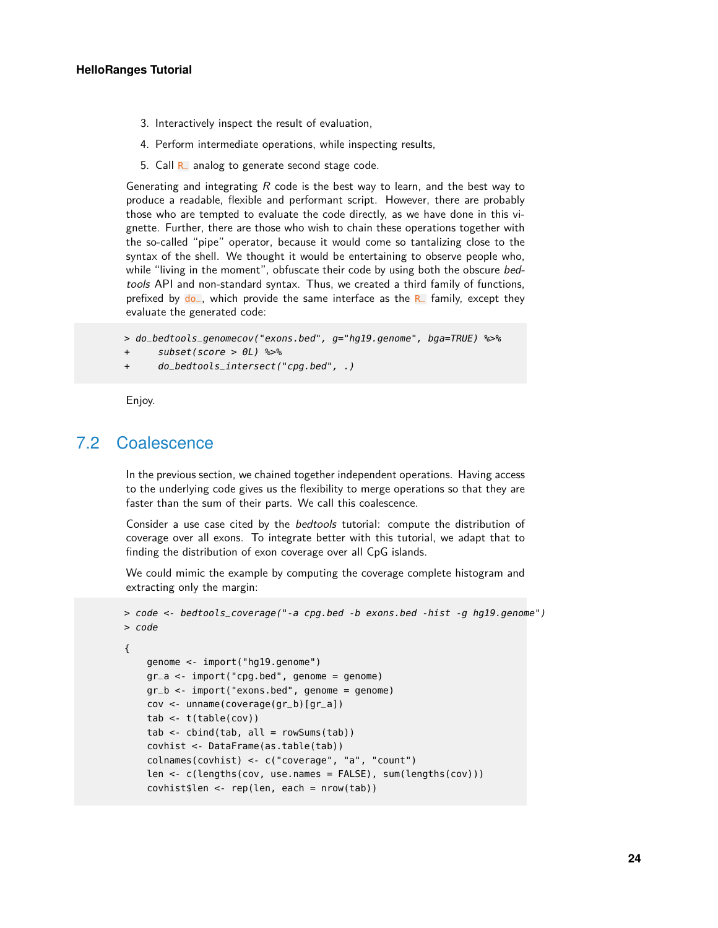- 3. Interactively inspect the result of evaluation,
- 4. Perform intermediate operations, while inspecting results,
- 5. Call  $R_$  analog to generate second stage code.

Generating and integrating  $R$  code is the best way to learn, and the best way to produce a readable, flexible and performant script. However, there are probably those who are tempted to evaluate the code directly, as we have done in this vignette. Further, there are those who wish to chain these operations together with the so-called "pipe" operator, because it would come so tantalizing close to the syntax of the shell. We thought it would be entertaining to observe people who, while "living in the moment", obfuscate their code by using both the obscure bedtools API and non-standard syntax. Thus, we created a third family of functions, prefixed by  $d\rho$ , which provide the same interface as the R family, except they evaluate the generated code:

```
> do_bedtools_genomecov("exons.bed", g="hg19.genome", bga=TRUE) %>%
```

```
+ subset(score > 0L) %>%
```
+ do\_bedtools\_intersect("cpg.bed", .)

<span id="page-23-0"></span>Enjoy.

## 7.2 Coalescence

In the previous section, we chained together independent operations. Having access to the underlying code gives us the flexibility to merge operations so that they are faster than the sum of their parts. We call this coalescence.

Consider a use case cited by the bedtools tutorial: compute the distribution of coverage over all exons. To integrate better with this tutorial, we adapt that to finding the distribution of exon coverage over all CpG islands.

We could mimic the example by computing the coverage complete histogram and extracting only the margin:

```
> code <- bedtools_coverage("-a cpg.bed -b exons.bed -hist -g hg19.genome")
> code
```

```
{
```

```
genome <- import("hg19.genome")
gr_a <- import("cpg.bed", genome = genome)
gr_b < -import("exons.bed", genome = genome)cov <- unname(coverage(gr_b)[gr_a])
tab <- t(table(cov))
tab < -</math> <math>cbind(tab, \text{ all } = \text{rowSums(tab)})</math>covhist <- DataFrame(as.table(tab))
colnames(covhist) <- c("coverage", "a", "count")
len <- c(lengths(cov, use.names = FALSE), sum(lengths(cov)))
covhist$len < -rep(len, each = nrow(tab))
```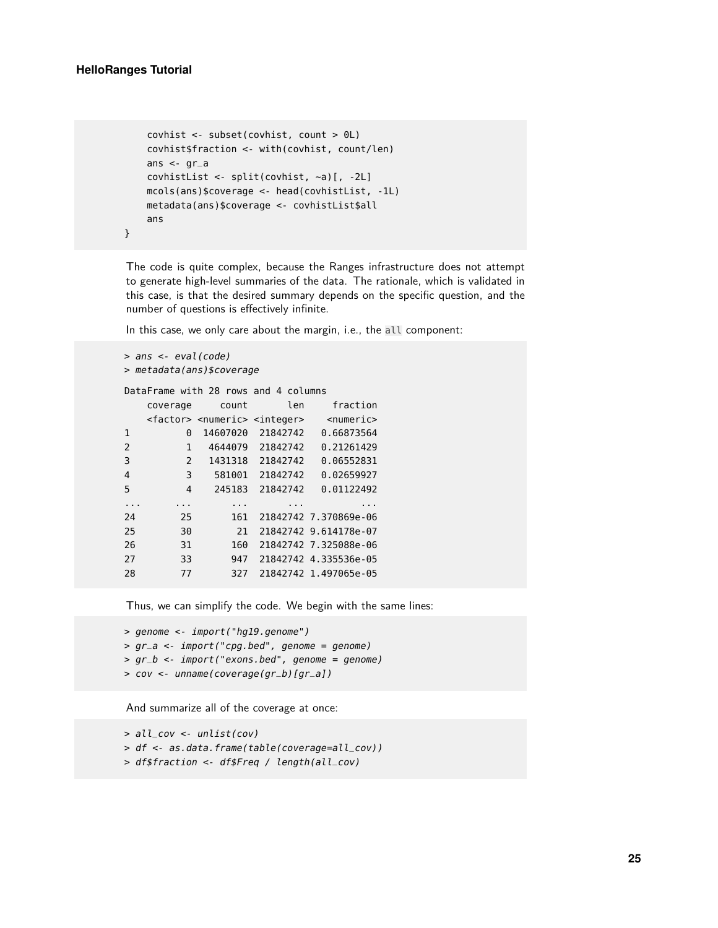}

```
covhist <- subset(covhist, count > 0L)
covhist$fraction <- with(covhist, count/len)
ans \lt- gr_a
covhistList <- split(covhist, ~a)[, -2L]
mcols(ans)$coverage <- head(covhistList, -1L)
metadata(ans)$coverage <- covhistList$all
ans
```
The code is quite complex, because the Ranges infrastructure does not attempt to generate high-level summaries of the data. The rationale, which is validated in this case, is that the desired summary depends on the specific question, and the number of questions is effectively infinite.

In this case, we only care about the margin, i.e., the all component:

```
> ans <- eval(code)
> metadata(ans)$coverage
DataFrame with 28 rows and 4 columns
  coverage count len fraction
  <factor> <numeric> <integer> <numeric>
1 0 14607020 21842742 0.66873564
2 1 4644079 21842742 0.21261429
3 2 1431318 21842742 0.06552831
4 3 581001 21842742 0.02659927
5 4 245183 21842742 0.01122492
... ... ... ... ...
24 25 161 21842742 7.370869e-06
25 30 21 21842742 9.614178e-07
26 31 160 21842742 7.325088e-06
27 33 947 21842742 4.335536e-05
28 77 327 21842742 1.497065e-05
```
Thus, we can simplify the code. We begin with the same lines:

```
> genome <- import("hg19.genome")
> gr_a < -import("cpg.bed", genome = genome)> gr_b <- import("exons.bed", genome = genome)
> cov <- unname(coverage(gr_b)[gr_a])
```
And summarize all of the coverage at once:

> all\_cov <- unlist(cov) > df <- as.data.frame(table(coverage=all\_cov)) > df\$fraction <- df\$Freq / length(all\_cov)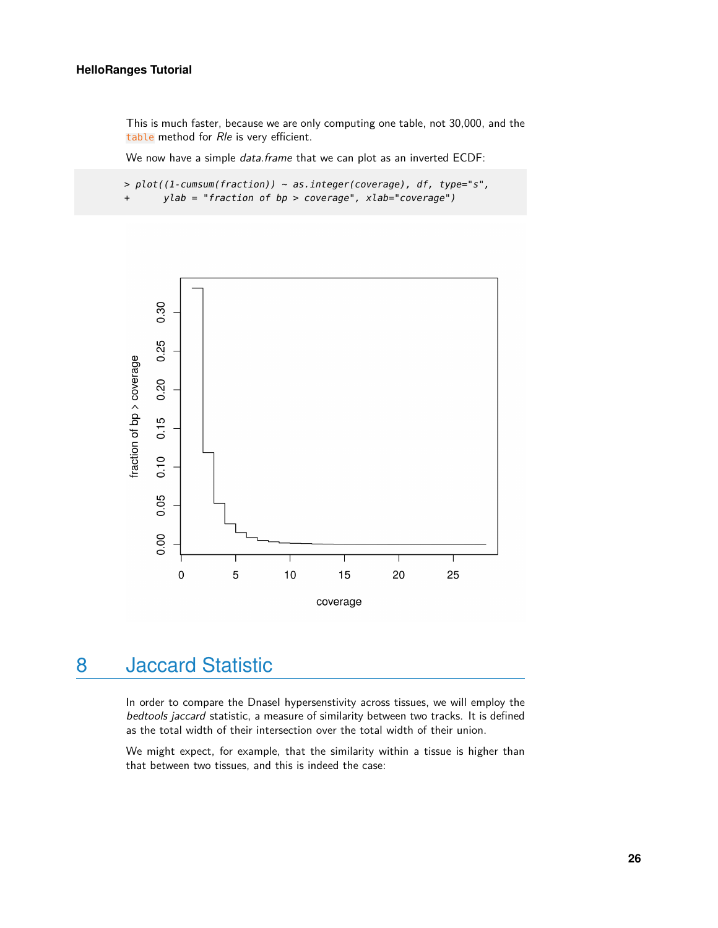#### **HelloRanges Tutorial**

This is much faster, because we are only computing one table, not 30,000, and the table method for Rle is very efficient.

We now have a simple *data.frame* that we can plot as an inverted ECDF:

 $> plot((1$ -cumsum(fraction)) ~ as.integer(coverage), df, type="s", + ylab = "fraction of bp > coverage", xlab="coverage")



# <span id="page-25-0"></span>8 Jaccard Statistic

In order to compare the Dnasel hypersenstivity across tissues, we will employ the bedtools jaccard statistic, a measure of similarity between two tracks. It is defined as the total width of their intersection over the total width of their union.

We might expect, for example, that the similarity within a tissue is higher than that between two tissues, and this is indeed the case: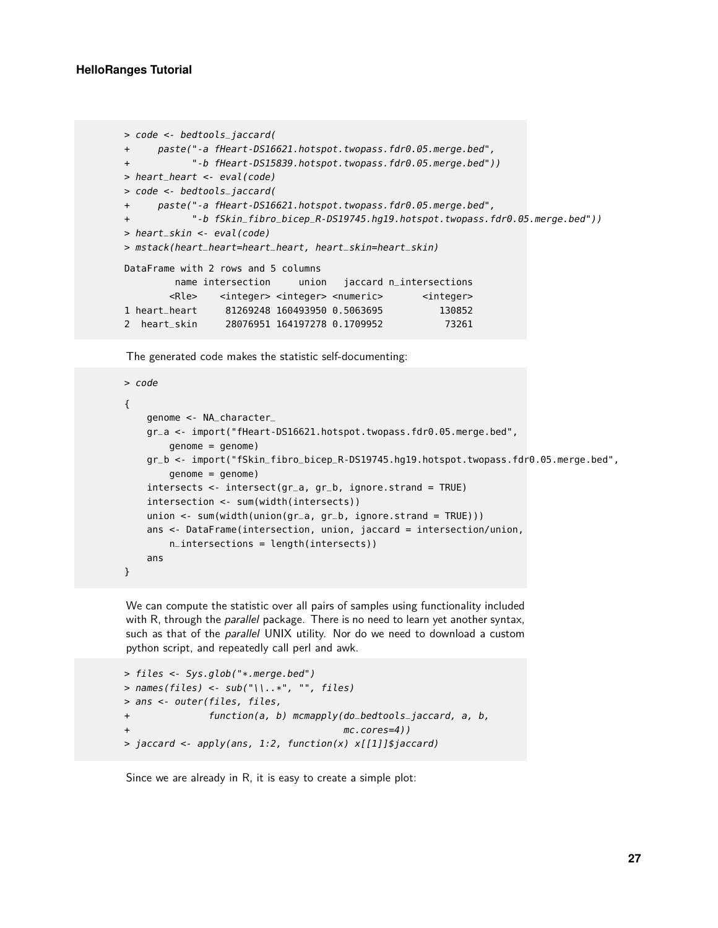```
> code <- bedtools_jaccard(
+ paste("-a fHeart-DS16621.hotspot.twopass.fdr0.05.merge.bed",
+ "-b fHeart-DS15839.hotspot.twopass.fdr0.05.merge.bed"))
> heart_heart <- eval(code)
> code <- bedtools_jaccard(
+ paste("-a fHeart-DS16621.hotspot.twopass.fdr0.05.merge.bed",
           + "-b fSkin_fibro_bicep_R-DS19745.hg19.hotspot.twopass.fdr0.05.merge.bed"))
> heart_skin <- eval(code)
> mstack(heart_heart=heart_heart, heart_skin=heart_skin)
DataFrame with 2 rows and 5 columns
       name intersection union jaccard n_intersections
       <Rle> <integer> <integer> <numeric> <integer>
1 heart_heart 81269248 160493950 0.5063695 130852
2 heart_skin 28076951 164197278 0.1709952 73261
```
The generated code makes the statistic self-documenting:

```
> code
{
    genome <- NA_character_
    gr_a <- import("fHeart-DS16621.hotspot.twopass.fdr0.05.merge.bed",
        genome = genome)
    gr_b <- import("fSkin_fibro_bicep_R-DS19745.hg19.hotspot.twopass.fdr0.05.merge.bed",
        genome = genome)
    intersects <- intersect(gr_a, gr_b, ignore.strand = TRUE)
    intersection <- sum(width(intersects))
    union <- sum(width(union(gr_a, gr_b, ignore.strand = TRUE)))
    ans <- DataFrame(intersection, union, jaccard = intersection/union,
        n_{\text{intersections}} = \text{length}(\text{intersects})ans
}
```
We can compute the statistic over all pairs of samples using functionality included with R, through the *parallel* package. There is no need to learn yet another syntax, such as that of the *parallel* UNIX utility. Nor do we need to download a custom python script, and repeatedly call perl and awk.

```
> files <- Sys.glob("*.merge.bed")
> names(files) <- sub("\\..*", "", files)
> ans <- outer(files, files,
+ function(a, b) mcmapply(do_bedtools_jaccard, a, b,
+ mc.cores=4))
> jaccard <- apply(ans, 1:2, function(x) x[[1]]$jaccard)
```
Since we are already in R, it is easy to create a simple plot: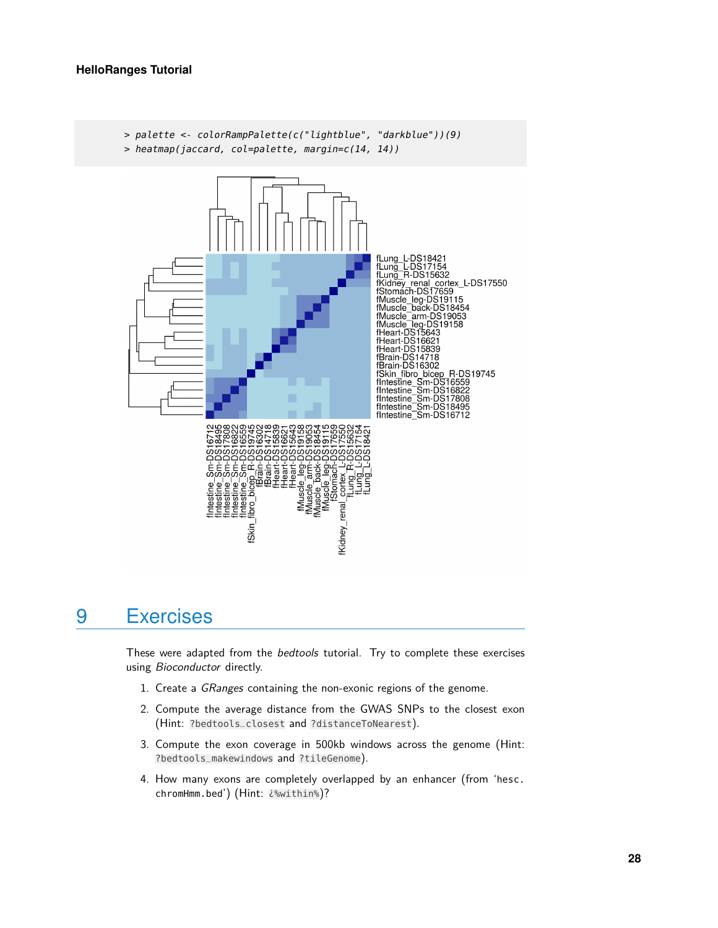

# <span id="page-27-0"></span>9 Exercises

These were adapted from the bedtools tutorial. Try to complete these exercises using Bioconductor directly.

- 1. Create a GRanges containing the non-exonic regions of the genome.
- 2. Compute the average distance from the GWAS SNPs to the closest exon (Hint: ?bedtools\_closest and ?distanceToNearest).
- 3. Compute the exon coverage in 500kb windows across the genome (Hint: ?bedtools\_makewindows and ?tileGenome).
- 4. How many exons are completely overlapped by an enhancer (from 'hesc. chromHmm.bed') (Hint: ¿%within%)?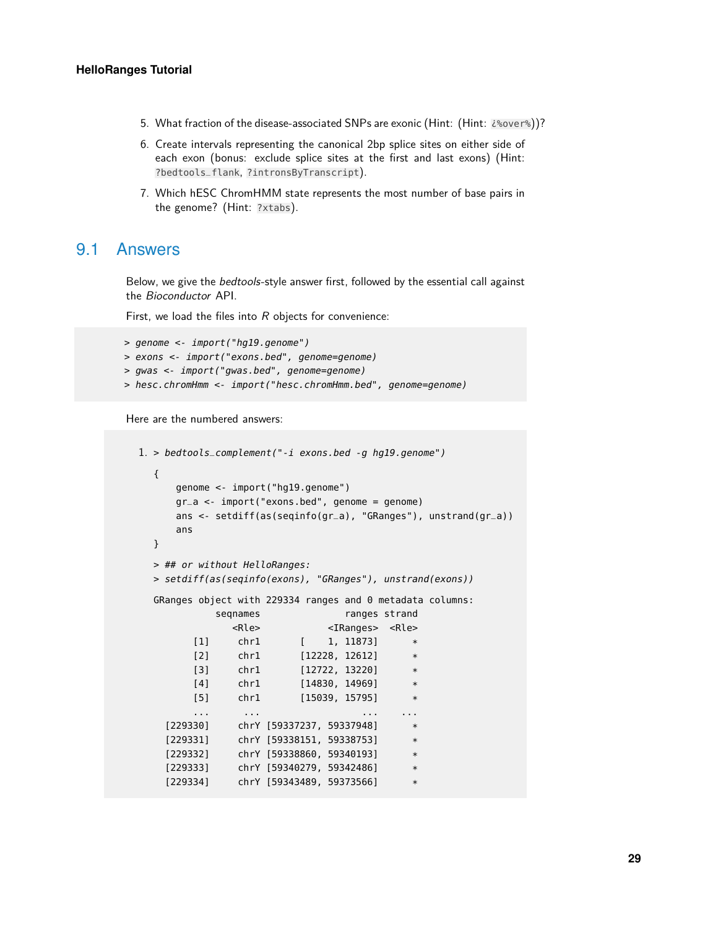- 5. What fraction of the disease-associated SNPs are exonic (Hint: (Hint:  $2\% over$ )?
- 6. Create intervals representing the canonical 2bp splice sites on either side of each exon (bonus: exclude splice sites at the first and last exons) (Hint: ?bedtools\_flank, ?intronsByTranscript).
- <span id="page-28-0"></span>7. Which hESC ChromHMM state represents the most number of base pairs in the genome? (Hint: ?xtabs).

### 9.1 Answers

Below, we give the bedtools-style answer first, followed by the essential call against the Bioconductor API.

First, we load the files into  $R$  objects for convenience:

```
> genome <- import("hg19.genome")
> exons <- import("exons.bed", genome=genome)
> gwas <- import("gwas.bed", genome=genome)
> hesc.chromHmm <- import("hesc.chromHmm.bed", genome=genome)
```
Here are the numbered answers:

```
1. > bedtools_complement("-i exons.bed -g hg19.genome")
  {
     genome <- import("hg19.genome")
     gr_a <- import("exons.bed", genome = genome)
     ans <- setdiff(as(seqinfo(gr_a), "GRanges"), unstrand(gr_a))
     ans
  }
  > ## or without HelloRanges:
  > setdiff(as(seqinfo(exons), "GRanges"), unstrand(exons))
  GRanges object with 229334 ranges and 0 metadata columns:
           seqnames ranges strand
             <Rle> <IRanges> <Rle>
        [1] chr1 [ 1, 11873] *
        [2] chr1 [12228, 12612] *
        [3] chr1 [12722, 13220] *
        [4] chr1 [14830, 14969] *
        [5] chr1 [15039, 15795] *
        ... ... ... ...
   [229330] chrY [59337237, 59337948] *
   [229331] chrY [59338151, 59338753] *
    [229332] chrY [59338860, 59340193]
   [229333] chrY [59340279, 59342486] *[229334] chrY [59343489, 59373566]
```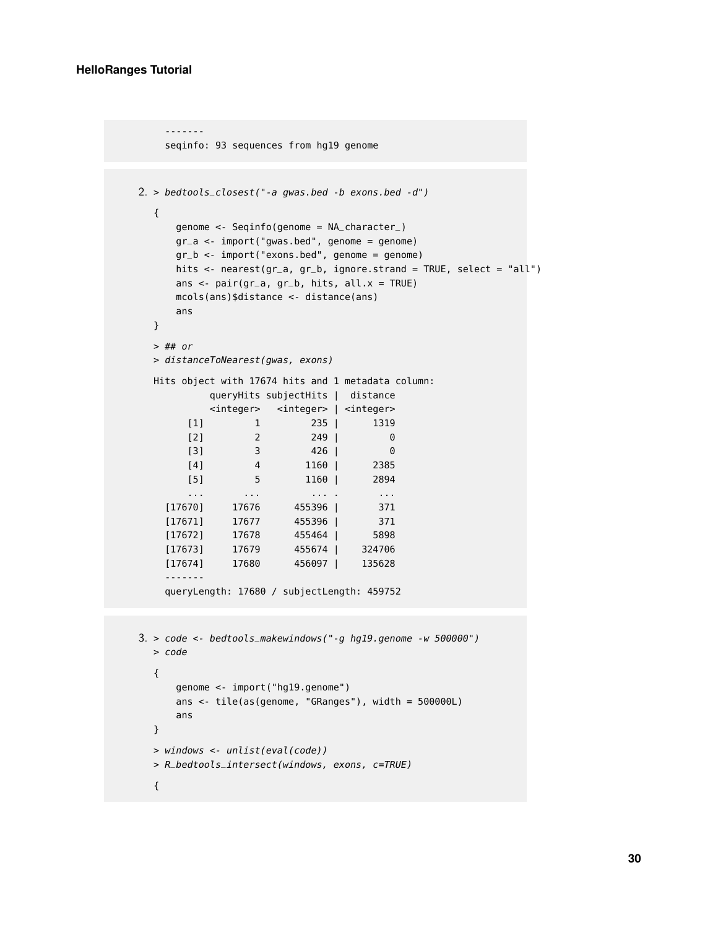```
-------
    seqinfo: 93 sequences from hg19 genome
2. > bedtools_closest("-a qwas.bed -b exons.bed -d")
  {
     genome <- Seqinfo(genome = NA_character_)
     gr_a < -import("gwas.bed", genome = genome)gr_b <- import("exons.bed", genome = genome)
     hits <- nearest(gr_a, gr_b, ignore.strand = TRUE, select = "all")
     ans <- pair(gr_a, gr_b, hits, all.x = TRUE)mcols(ans)$distance <- distance(ans)
     ans
  }
  > ## or
  > distanceToNearest(gwas, exons)
  Hits object with 17674 hits and 1 metadata column:
          queryHits subjectHits | distance
          <integer> <integer> | <integer>
       [1] 1 235 | 1319
       [2] 2 249 | 0
       [3] 3 426 | 0
       [4] 4 1160 | 2385
       [5] 5 1160 | 2894
       ... ... ... . ...
    [17670] 17676 455396 | 371
    [17671] 17677 455396 | 371
    [17672] 17678 455464 | 5898
    [17673] 17679 455674 | 324706
    [17674] 17680 456097 | 135628
    -------
    queryLength: 17680 / subjectLength: 459752
3. > code <- bedtools_makewindows("-g hg19.genome -w 500000")
  > code
  {
     genome <- import("hg19.genome")
     ans <- tile(as(genome, "GRanges"), width = 500000L)
     ans
  }
  > windows <- unlist(eval(code))
  > R_bedtools_intersect(windows, exons, c=TRUE)
  {
```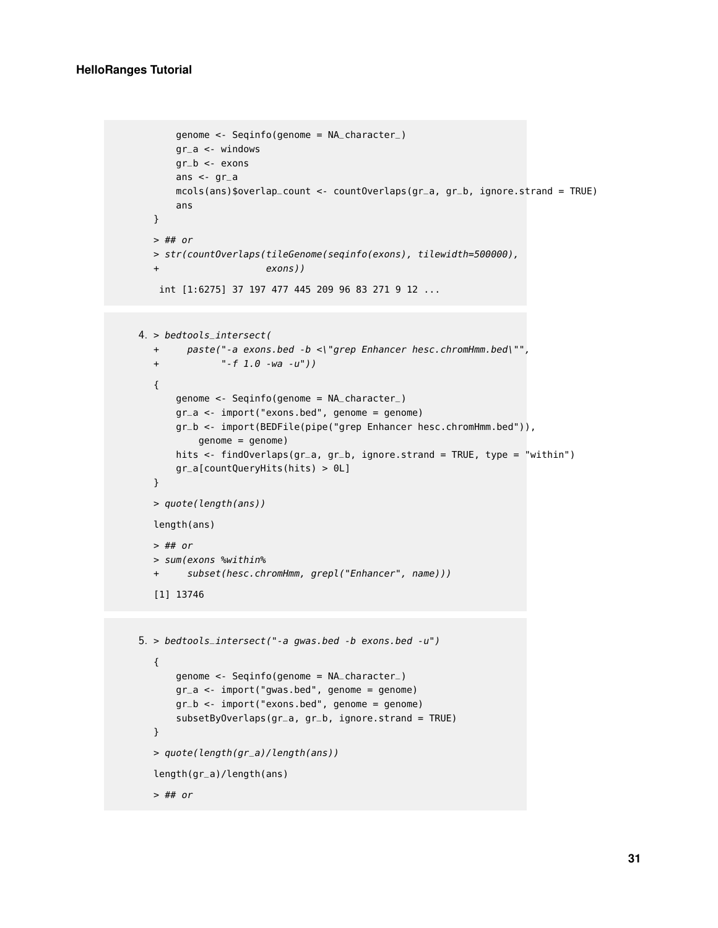#### **HelloRanges Tutorial**

```
genome <- Seqinfo(genome = NA_character_)
      gr_a <- windows
      gr_b < - exons
      ans \lt- gr_a
      mcols(ans)$overlap_count <- countOverlaps(gr_a, gr_b, ignore.strand = TRUE)
      ans
  }
  > ## or
  > str(countOverlaps(tileGenome(seqinfo(exons), tilewidth=500000),
  + exons))
   int [1:6275] 37 197 477 445 209 96 83 271 9 12 ...
4. > bedtools_intersect(
  + paste("-a exons.bed -b <\"grep Enhancer hesc.chromHmm.bed\"",
  + "-f 1.0 -wa -u"))
  {
      genome <- Seqinfo(genome = NA_character_)
      gr_a <- import("exons.bed", genome = genome)
      gr_b <- import(BEDFile(pipe("grep Enhancer hesc.chromHmm.bed")),
          genome = genome)
      hits <- findOverlaps(gr_a, gr_b, ignore.strand = TRUE, type = "within")
      gr_a[countQueryHits(hits) > 0L]
  }
  > quote(length(ans))
  length(ans)
  > ## or
  > sum(exons %within%
  + subset(hesc.chromHmm, grepl("Enhancer", name)))
  [1] 13746
```

```
5. > bedtools_intersect("-a gwas.bed -b exons.bed -u")
  {
      genome <- Seqinfo(genome = NA_character_)
      gr_a <- import("gwas.bed", genome = genome)
      gr_b <- import("exons.bed", genome = genome)
      subsetByOverlaps(gr_a, gr_b, ignore.strand = TRUE)
  }
  > quote(length(gr_a)/length(ans))
  length(gr_a)/length(ans)
  > ## or
```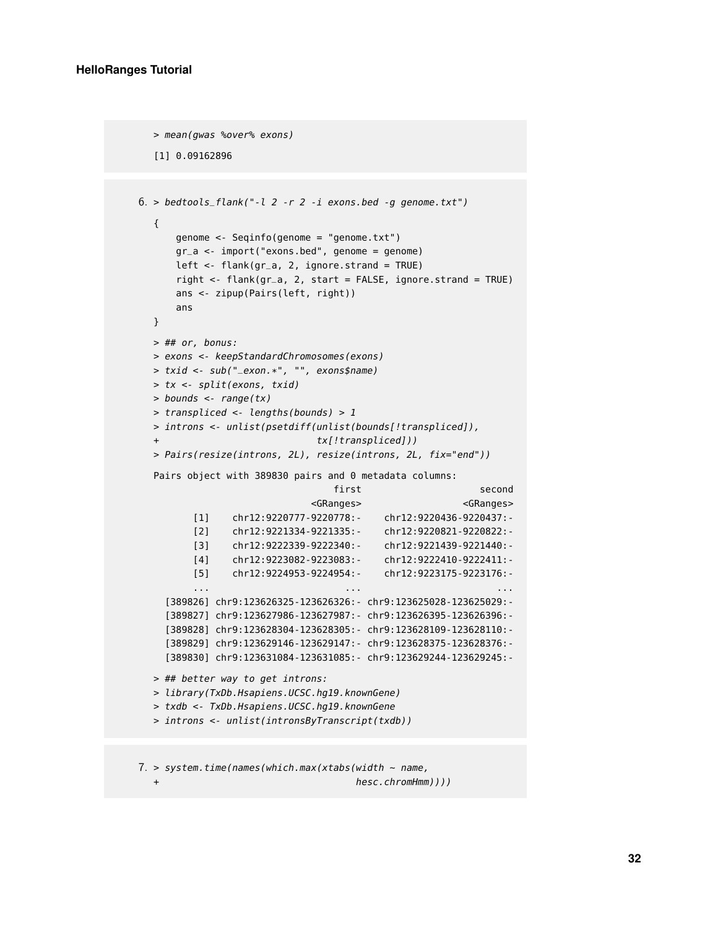```
> mean(gwas %over% exons)
  [1] 0.09162896
6. > bedtools_flank("-l 2 -r 2 -i exons.bed -g genome.txt")
  {
      genome <- Seqinfo(genome = "genome.txt")
      gr_a <- import("exons.bed", genome = genome)
      left \leq- flank(qr_a, 2, ignore.strand = TRUE)
      right <- flank(gr_a, 2, start = FALSE, ignore.strand = TRUE)
      ans <- zipup(Pairs(left, right))
      ans
  }
  > ## or, bonus:
  > exons <- keepStandardChromosomes(exons)
  > txid <- sub("_exon.*", "", exons$name)
  > tx <- split(exons, txid)
  > bounds <- range(tx)
  > transpliced <- lengths(bounds) > 1
  > introns <- unlist(psetdiff(unlist(bounds[!transpliced]),
                             tx[!transpliced]))
  > Pairs(resize(introns, 2L), resize(introns, 2L, fix="end"))
  Pairs object with 389830 pairs and 0 metadata columns:
                                first second
                            <GRanges> <GRanges>
         [1] chr12:9220777-9220778:- chr12:9220436-9220437:-
         [2] chr12:9221334-9221335:- chr12:9220821-9220822:-
         [3] chr12:9222339-9222340:- chr12:9221439-9221440:-
         [4] chr12:9223082-9223083:- chr12:9222410-9222411:-
         [5] chr12:9224953-9224954:- chr12:9223175-9223176:-
         ... ... ...
    [389826] chr9:123626325-123626326:- chr9:123625028-123625029:-
    [389827] chr9:123627986-123627987:- chr9:123626395-123626396:-
    [389828] chr9:123628304-123628305:- chr9:123628109-123628110:-
    [389829] chr9:123629146-123629147:- chr9:123628375-123628376:-
    [389830] chr9:123631084-123631085:- chr9:123629244-123629245:-
  > ## better way to get introns:
  > library(TxDb.Hsapiens.UCSC.hg19.knownGene)
  > txdb <- TxDb.Hsapiens.UCSC.hg19.knownGene
  > introns <- unlist(intronsByTranscript(txdb))
```
 $7.$  > system.time(names(which.max(xtabs(width ~ name,

```
+ hesc.chromHmm))))
```